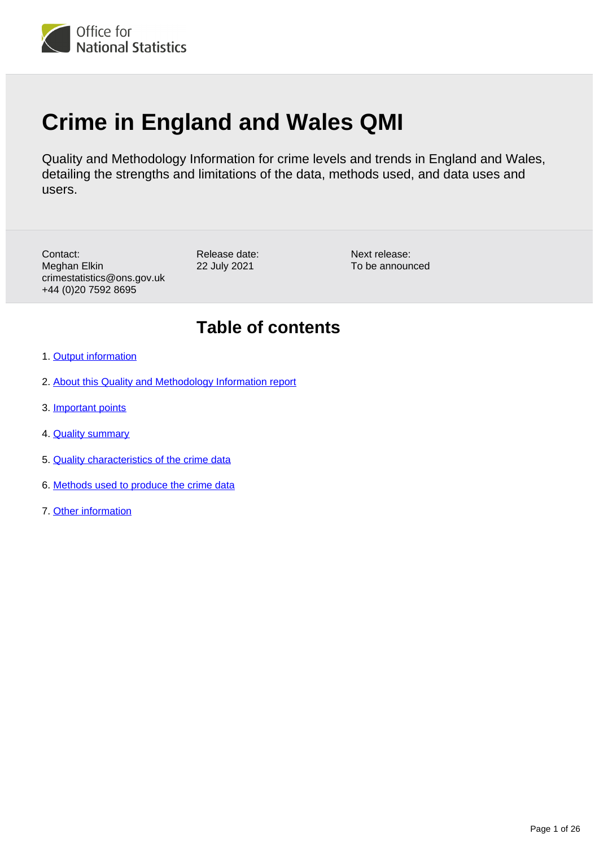

# **Crime in England and Wales QMI**

Quality and Methodology Information for crime levels and trends in England and Wales, detailing the strengths and limitations of the data, methods used, and data uses and users.

Contact: Meghan Elkin crimestatistics@ons.gov.uk +44 (0)20 7592 8695

Release date: 22 July 2021

Next release: To be announced

## **Table of contents**

- 1. [Output information](#page-1-0)
- 2. [About this Quality and Methodology Information report](#page-1-1)
- 3. [Important points](#page-1-2)
- 4. [Quality summary](#page-3-0)
- 5. [Quality characteristics of the crime data](#page-10-0)
- 6. [Methods used to produce the crime data](#page-21-0)
- 7. [Other information](#page-25-0)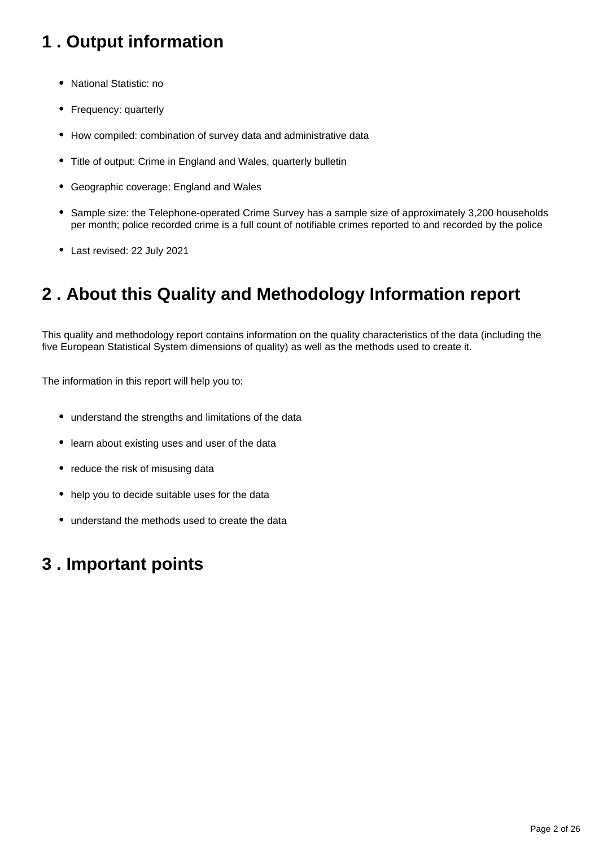# <span id="page-1-0"></span>**1 . Output information**

- National Statistic: no
- Frequency: quarterly
- How compiled: combination of survey data and administrative data
- Title of output: Crime in England and Wales, quarterly bulletin
- Geographic coverage: England and Wales
- Sample size: the Telephone-operated Crime Survey has a sample size of approximately 3,200 households per month; police recorded crime is a full count of notifiable crimes reported to and recorded by the police
- Last revised: 22 July 2021

# <span id="page-1-1"></span>**2 . About this Quality and Methodology Information report**

This quality and methodology report contains information on the quality characteristics of the data (including the five European Statistical System dimensions of quality) as well as the methods used to create it.

The information in this report will help you to:

- understand the strengths and limitations of the data
- learn about existing uses and user of the data
- reduce the risk of misusing data
- help you to decide suitable uses for the data
- understand the methods used to create the data

## <span id="page-1-2"></span>**3 . Important points**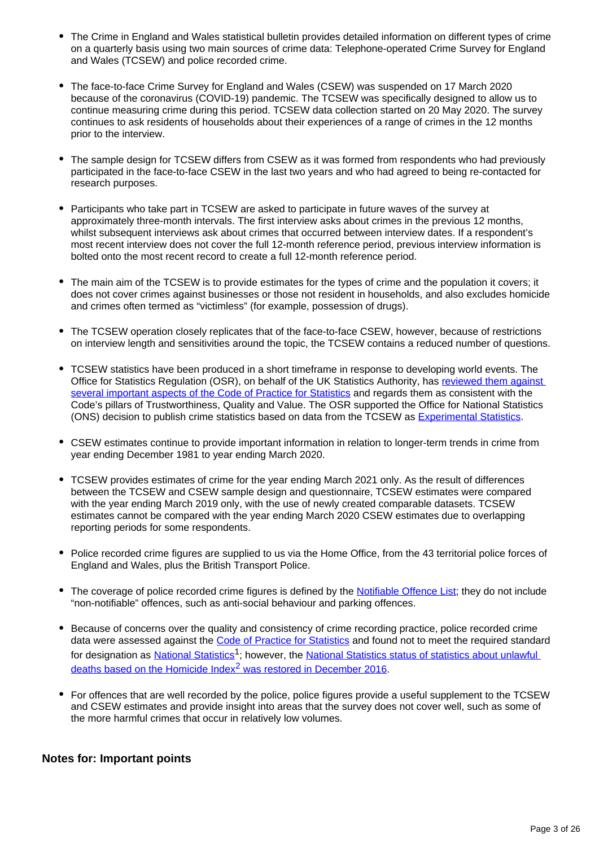- The Crime in England and Wales statistical bulletin provides detailed information on different types of crime on a quarterly basis using two main sources of crime data: Telephone-operated Crime Survey for England and Wales (TCSEW) and police recorded crime.
- The face-to-face Crime Survey for England and Wales (CSEW) was suspended on 17 March 2020 because of the coronavirus (COVID-19) pandemic. The TCSEW was specifically designed to allow us to continue measuring crime during this period. TCSEW data collection started on 20 May 2020. The survey continues to ask residents of households about their experiences of a range of crimes in the 12 months prior to the interview.
- The sample design for TCSEW differs from CSEW as it was formed from respondents who had previously participated in the face-to-face CSEW in the last two years and who had agreed to being re-contacted for research purposes.
- Participants who take part in TCSEW are asked to participate in future waves of the survey at approximately three-month intervals. The first interview asks about crimes in the previous 12 months, whilst subsequent interviews ask about crimes that occurred between interview dates. If a respondent's most recent interview does not cover the full 12-month reference period, previous interview information is bolted onto the most recent record to create a full 12-month reference period.
- The main aim of the TCSEW is to provide estimates for the types of crime and the population it covers; it does not cover crimes against businesses or those not resident in households, and also excludes homicide and crimes often termed as "victimless" (for example, possession of drugs).
- The TCSEW operation closely replicates that of the face-to-face CSEW, however, because of restrictions on interview length and sensitivities around the topic, the TCSEW contains a reduced number of questions.
- TCSEW statistics have been produced in a short timeframe in response to developing world events. The Office for Statistics Regulation (OSR), on behalf of the UK Statistics Authority, has reviewed them against [several important aspects of the Code of Practice for Statistics](https://osr.statisticsauthority.gov.uk/covid-19-changes-to-statistics/#osr-endorsements-of-new-statistical-outputs-during-covid-19-outbreak) and regards them as consistent with the Code's pillars of Trustworthiness, Quality and Value. The OSR supported the Office for National Statistics (ONS) decision to publish crime statistics based on data from the TCSEW as [Experimental Statistics.](https://osr.statisticsauthority.gov.uk/publication/experimental-statistics-official-statistics-in-development/)
- CSEW estimates continue to provide important information in relation to longer-term trends in crime from year ending December 1981 to year ending March 2020.
- TCSEW provides estimates of crime for the year ending March 2021 only. As the result of differences between the TCSEW and CSEW sample design and questionnaire, TCSEW estimates were compared with the year ending March 2019 only, with the use of newly created comparable datasets. TCSEW estimates cannot be compared with the year ending March 2020 CSEW estimates due to overlapping reporting periods for some respondents.
- Police recorded crime figures are supplied to us via the Home Office, from the 43 territorial police forces of England and Wales, plus the British Transport Police.
- The coverage of police recorded crime figures is defined by the [Notifiable Offence List](https://data.gov.uk/dataset/695f6775-3e51-4dd4-911a-19575638384c/home-office-counting-rules-for-recorded-crime); they do not include "non-notifiable" offences, such as anti-social behaviour and parking offences.
- Because of concerns over the quality and consistency of crime recording practice, police recorded crime data were assessed against the [Code of Practice for Statistics](https://code.statisticsauthority.gov.uk/) and found not to meet the required standard for designation as [National Statistics](https://uksa.statisticsauthority.gov.uk/about-the-authority/uk-statistical-system/types-of-official-statistics/)<sup>1</sup>; however, the National Statistics status of statistics about unlawful deaths based on the Homicide Index<sup>2</sup> was restored in December 2016.
- For offences that are well recorded by the police, police figures provide a useful supplement to the TCSEW and CSEW estimates and provide insight into areas that the survey does not cover well, such as some of the more harmful crimes that occur in relatively low volumes.

### **Notes for: Important points**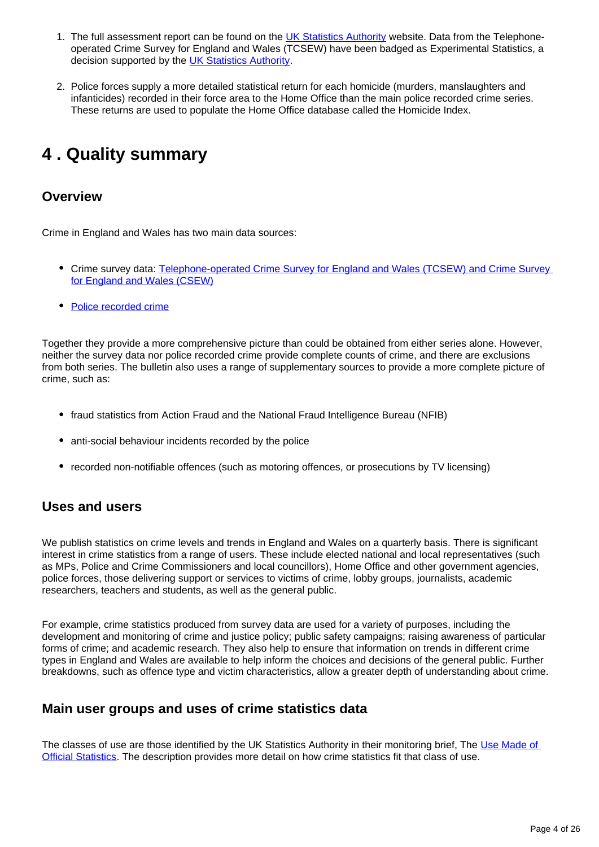- 1. The full assessment report can be found on the [UK Statistics Authority](https://www.statisticsauthority.gov.uk/) website. Data from the Telephoneoperated Crime Survey for England and Wales (TCSEW) have been badged as Experimental Statistics, a decision supported by the [UK Statistics Authority](https://osr.statisticsauthority.gov.uk/correspondence/ed-humpherson-to-iain-bell-telephone-operated-crime-survey-for-england-and-wales/).
- 2. Police forces supply a more detailed statistical return for each homicide (murders, manslaughters and infanticides) recorded in their force area to the Home Office than the main police recorded crime series. These returns are used to populate the Home Office database called the Homicide Index.

# <span id="page-3-0"></span>**4 . Quality summary**

### **Overview**

Crime in England and Wales has two main data sources:

- Crime survey data: Telephone-operated Crime Survey for England and Wales (TCSEW) and Crime Survey [for England and Wales \(CSEW\)](https://www.crimesurvey.co.uk/en/HomeReadMore.html)
- [Police recorded crime](https://www.gov.uk/government/statistics/police-recorded-crime-open-data-tables)

Together they provide a more comprehensive picture than could be obtained from either series alone. However, neither the survey data nor police recorded crime provide complete counts of crime, and there are exclusions from both series. The bulletin also uses a range of supplementary sources to provide a more complete picture of crime, such as:

- fraud statistics from Action Fraud and the National Fraud Intelligence Bureau (NFIB)
- anti-social behaviour incidents recorded by the police
- recorded non-notifiable offences (such as motoring offences, or prosecutions by TV licensing)

### **Uses and users**

We publish statistics on crime levels and trends in England and Wales on a quarterly basis. There is significant interest in crime statistics from a range of users. These include elected national and local representatives (such as MPs, Police and Crime Commissioners and local councillors), Home Office and other government agencies, police forces, those delivering support or services to victims of crime, lobby groups, journalists, academic researchers, teachers and students, as well as the general public.

For example, crime statistics produced from survey data are used for a variety of purposes, including the development and monitoring of crime and justice policy; public safety campaigns; raising awareness of particular forms of crime; and academic research. They also help to ensure that information on trends in different crime types in England and Wales are available to help inform the choices and decisions of the general public. Further breakdowns, such as offence type and victim characteristics, allow a greater depth of understanding about crime.

### **Main user groups and uses of crime statistics data**

The classes of use are those identified by the UK Statistics Authority in their monitoring brief. The Use Made of [Official Statistics.](https://uksa.statisticsauthority.gov.uk/publication/the-use-made-of-official-statistics/) The description provides more detail on how crime statistics fit that class of use.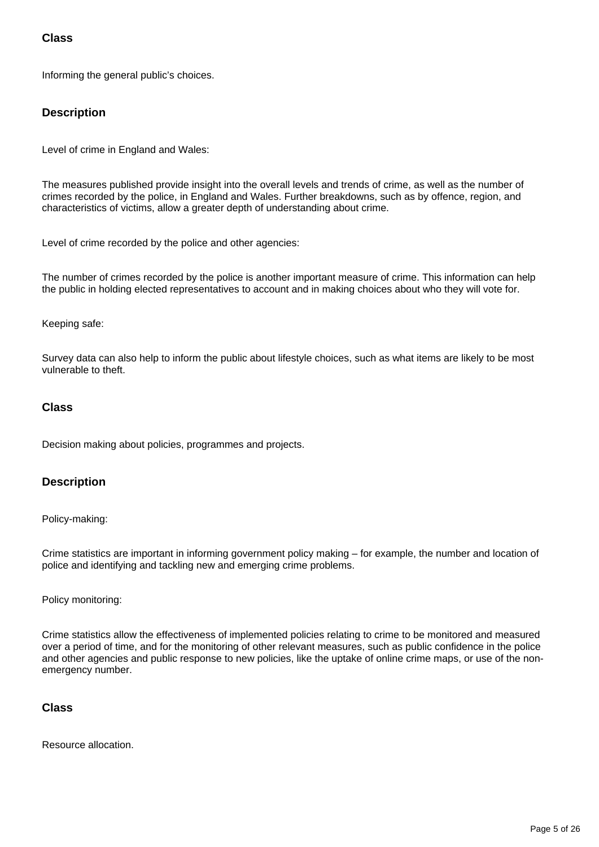### **Class**

Informing the general public's choices.

### **Description**

Level of crime in England and Wales:

The measures published provide insight into the overall levels and trends of crime, as well as the number of crimes recorded by the police, in England and Wales. Further breakdowns, such as by offence, region, and characteristics of victims, allow a greater depth of understanding about crime.

Level of crime recorded by the police and other agencies:

The number of crimes recorded by the police is another important measure of crime. This information can help the public in holding elected representatives to account and in making choices about who they will vote for.

#### Keeping safe:

Survey data can also help to inform the public about lifestyle choices, such as what items are likely to be most vulnerable to theft.

### **Class**

Decision making about policies, programmes and projects.

#### **Description**

#### Policy-making:

Crime statistics are important in informing government policy making – for example, the number and location of police and identifying and tackling new and emerging crime problems.

#### Policy monitoring:

Crime statistics allow the effectiveness of implemented policies relating to crime to be monitored and measured over a period of time, and for the monitoring of other relevant measures, such as public confidence in the police and other agencies and public response to new policies, like the uptake of online crime maps, or use of the nonemergency number.

#### **Class**

Resource allocation.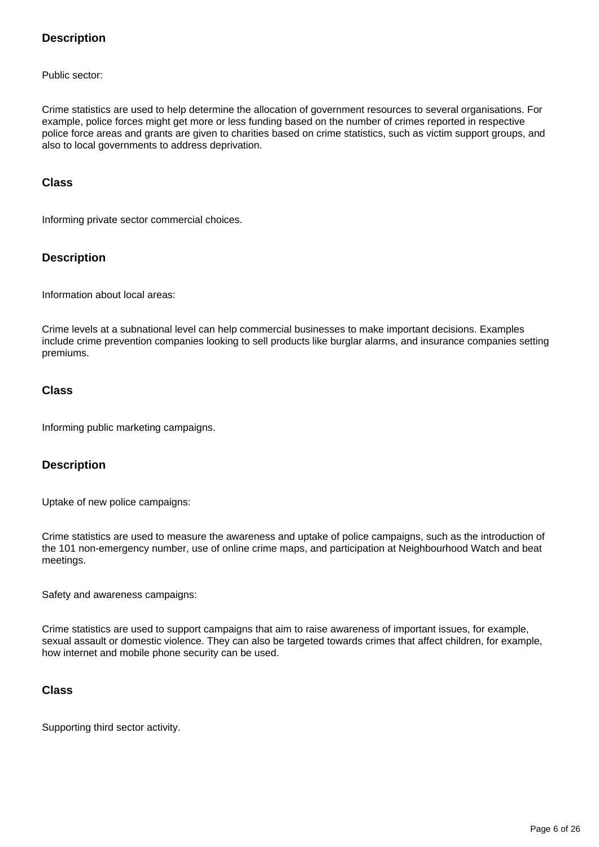### **Description**

Public sector:

Crime statistics are used to help determine the allocation of government resources to several organisations. For example, police forces might get more or less funding based on the number of crimes reported in respective police force areas and grants are given to charities based on crime statistics, such as victim support groups, and also to local governments to address deprivation.

#### **Class**

Informing private sector commercial choices.

#### **Description**

Information about local areas:

Crime levels at a subnational level can help commercial businesses to make important decisions. Examples include crime prevention companies looking to sell products like burglar alarms, and insurance companies setting premiums.

### **Class**

Informing public marketing campaigns.

#### **Description**

Uptake of new police campaigns:

Crime statistics are used to measure the awareness and uptake of police campaigns, such as the introduction of the 101 non-emergency number, use of online crime maps, and participation at Neighbourhood Watch and beat meetings.

Safety and awareness campaigns:

Crime statistics are used to support campaigns that aim to raise awareness of important issues, for example, sexual assault or domestic violence. They can also be targeted towards crimes that affect children, for example, how internet and mobile phone security can be used.

#### **Class**

Supporting third sector activity.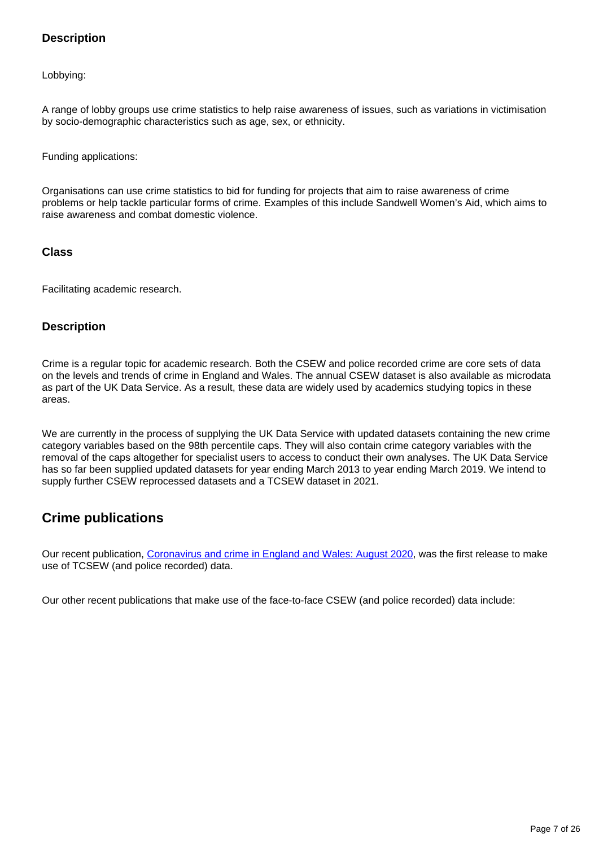### **Description**

Lobbying:

A range of lobby groups use crime statistics to help raise awareness of issues, such as variations in victimisation by socio-demographic characteristics such as age, sex, or ethnicity.

Funding applications:

Organisations can use crime statistics to bid for funding for projects that aim to raise awareness of crime problems or help tackle particular forms of crime. Examples of this include Sandwell Women's Aid, which aims to raise awareness and combat domestic violence.

#### **Class**

Facilitating academic research.

### **Description**

Crime is a regular topic for academic research. Both the CSEW and police recorded crime are core sets of data on the levels and trends of crime in England and Wales. The annual CSEW dataset is also available as microdata as part of the UK Data Service. As a result, these data are widely used by academics studying topics in these areas.

We are currently in the process of supplying the UK Data Service with updated datasets containing the new crime category variables based on the 98th percentile caps. They will also contain crime category variables with the removal of the caps altogether for specialist users to access to conduct their own analyses. The UK Data Service has so far been supplied updated datasets for year ending March 2013 to year ending March 2019. We intend to supply further CSEW reprocessed datasets and a TCSEW dataset in 2021.

### **Crime publications**

Our recent publication, [Coronavirus and crime in England and Wales: August 2020,](https://www.ons.gov.uk/peoplepopulationandcommunity/crimeandjustice/bulletins/coronavirusandcrimeinenglandandwales/august2020) was the first release to make use of TCSEW (and police recorded) data.

Our other recent publications that make use of the face-to-face CSEW (and police recorded) data include: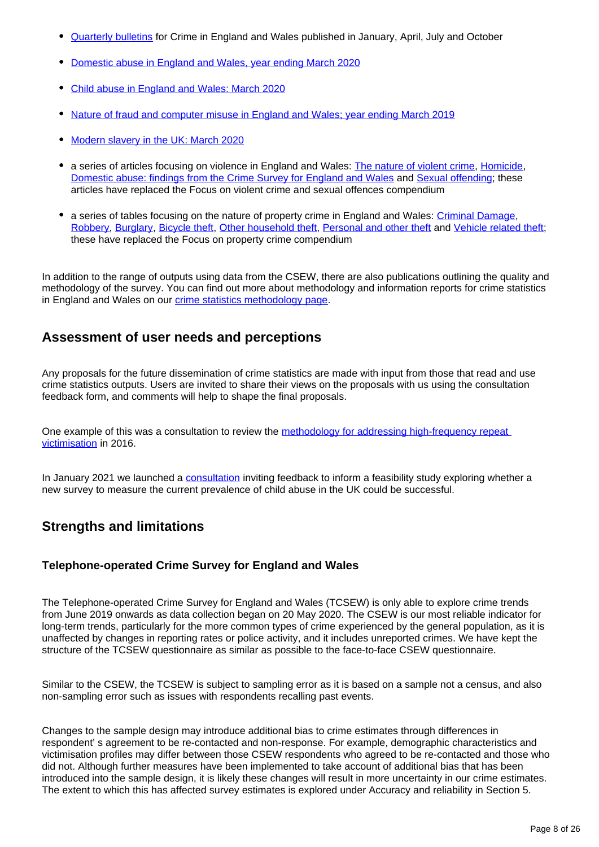- [Quarterly bulletins](https://www.ons.gov.uk/peoplepopulationandcommunity/crimeandjustice/bulletins/crimeinenglandandwales/previousReleases) for Crime in England and Wales published in January, April, July and October
- [Domestic abuse in England and Wales, year ending March 2020](https://www.ons.gov.uk/peoplepopulationandcommunity/crimeandjustice/bulletins/domesticabuseinenglandandwalesoverview/november2020)
- [Child abuse in England and Wales: March 2020](https://www.ons.gov.uk/peoplepopulationandcommunity/crimeandjustice/bulletins/childabuseinenglandandwales/march2020)
- [Nature of fraud and computer misuse in England and Wales; year ending March 2019](https://www.ons.gov.uk/peoplepopulationandcommunity/crimeandjustice/articles/natureoffraudandcomputermisuseinenglandandwales/yearendingmarch2019)
- [Modern slavery in the UK: March 2020](https://www.ons.gov.uk/peoplepopulationandcommunity/crimeandjustice/articles/modernslaveryintheuk/march2020)
- a series of articles focusing on violence in England and Wales: [The nature of violent crime](https://www.ons.gov.uk/peoplepopulationandcommunity/crimeandjustice/articles/thenatureofviolentcrimeinenglandandwales/yearendingmarch2018), [Homicide](https://www.ons.gov.uk/peoplepopulationandcommunity/crimeandjustice/articles/homicideinenglandandwales/yearendingmarch2019), [Domestic abuse: findings from the Crime Survey for England and Wales](https://www.ons.gov.uk/peoplepopulationandcommunity/crimeandjustice/articles/domesticabusefindingsfromthecrimesurveyforenglandandwales/yearendingmarch2018) and [Sexual offending](https://www.ons.gov.uk/peoplepopulationandcommunity/crimeandjustice/articles/sexualoffendingvictimisationandthepaththroughthecriminaljusticesystem/2018-12-13); these articles have replaced the Focus on violent crime and sexual offences compendium
- a series of tables focusing on the nature of property crime in England and Wales: [Criminal Damage](https://www.ons.gov.uk/peoplepopulationandcommunity/crimeandjustice/datasets/natureofcrimecriminaldamage), [Robbery,](https://www.ons.gov.uk/peoplepopulationandcommunity/crimeandjustice/datasets/natureofcrimerobbery) [Burglary](https://www.ons.gov.uk/peoplepopulationandcommunity/crimeandjustice/datasets/natureofcrimeburglary), [Bicycle theft](https://www.ons.gov.uk/peoplepopulationandcommunity/crimeandjustice/datasets/natureofcrimebicycletheft), [Other household theft](https://www.ons.gov.uk/peoplepopulationandcommunity/crimeandjustice/datasets/natureofcrimeotherhouseholdtheft), [Personal and other theft](https://www.ons.gov.uk/peoplepopulationandcommunity/crimeandjustice/datasets/natureofcrimepersonalandothertheft) and [Vehicle related theft](https://www.ons.gov.uk/peoplepopulationandcommunity/crimeandjustice/datasets/natureofcrimevehiclerelatedtheft); these have replaced the Focus on property crime compendium

In addition to the range of outputs using data from the CSEW, there are also publications outlining the quality and methodology of the survey. You can find out more about methodology and information reports for crime statistics in England and Wales on our *crime statistics methodology page*.

### **Assessment of user needs and perceptions**

Any proposals for the future dissemination of crime statistics are made with input from those that read and use crime statistics outputs. Users are invited to share their views on the proposals with us using the consultation feedback form, and comments will help to shape the final proposals.

One example of this was a consultation to review the methodology for addressing high-frequency repeat [victimisation](https://www.ons.gov.uk/aboutus/whatwedo/statistics/consultationsandsurveys/allconsultationsandsurveys/reviewofmethodologyforaddressinghighfrequencyrepeatvictimisationincrimesurveyforenglandandwalesestimates) in 2016.

In January 2021 we launched a [consultation](https://consultations.ons.gov.uk/external-affairs/child-abuse-survey-consultation/) inviting feedback to inform a feasibility study exploring whether a new survey to measure the current prevalence of child abuse in the UK could be successful.

### **Strengths and limitations**

### **Telephone-operated Crime Survey for England and Wales**

The Telephone-operated Crime Survey for England and Wales (TCSEW) is only able to explore crime trends from June 2019 onwards as data collection began on 20 May 2020. The CSEW is our most reliable indicator for long-term trends, particularly for the more common types of crime experienced by the general population, as it is unaffected by changes in reporting rates or police activity, and it includes unreported crimes. We have kept the structure of the TCSEW questionnaire as similar as possible to the face-to-face CSEW questionnaire.

Similar to the CSEW, the TCSEW is subject to sampling error as it is based on a sample not a census, and also non-sampling error such as issues with respondents recalling past events.

Changes to the sample design may introduce additional bias to crime estimates through differences in respondent' s agreement to be re-contacted and non-response. For example, demographic characteristics and victimisation profiles may differ between those CSEW respondents who agreed to be re-contacted and those who did not. Although further measures have been implemented to take account of additional bias that has been introduced into the sample design, it is likely these changes will result in more uncertainty in our crime estimates. The extent to which this has affected survey estimates is explored under Accuracy and reliability in Section 5.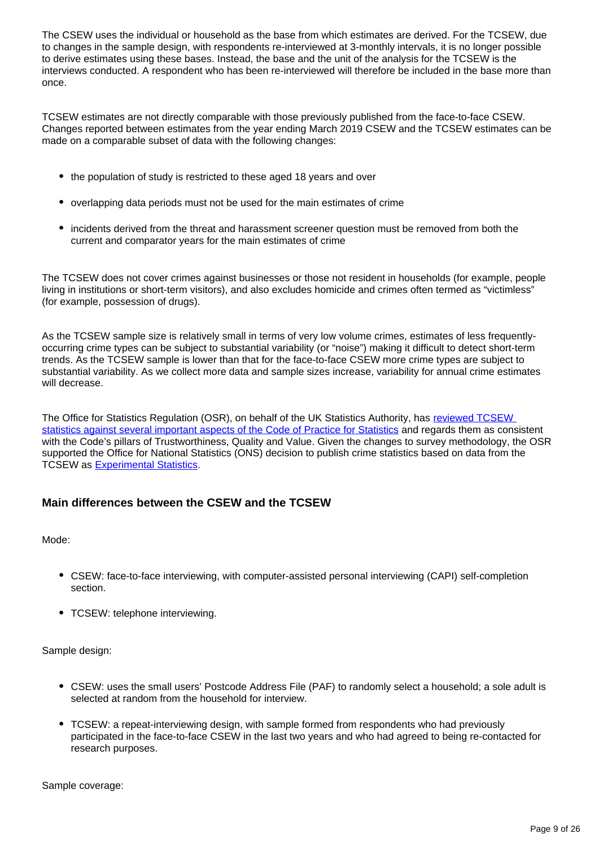The CSEW uses the individual or household as the base from which estimates are derived. For the TCSEW, due to changes in the sample design, with respondents re-interviewed at 3-monthly intervals, it is no longer possible to derive estimates using these bases. Instead, the base and the unit of the analysis for the TCSEW is the interviews conducted. A respondent who has been re-interviewed will therefore be included in the base more than once.

TCSEW estimates are not directly comparable with those previously published from the face-to-face CSEW. Changes reported between estimates from the year ending March 2019 CSEW and the TCSEW estimates can be made on a comparable subset of data with the following changes:

- the population of study is restricted to these aged 18 years and over
- overlapping data periods must not be used for the main estimates of crime
- incidents derived from the threat and harassment screener question must be removed from both the current and comparator years for the main estimates of crime

The TCSEW does not cover crimes against businesses or those not resident in households (for example, people living in institutions or short-term visitors), and also excludes homicide and crimes often termed as "victimless" (for example, possession of drugs).

As the TCSEW sample size is relatively small in terms of very low volume crimes, estimates of less frequentlyoccurring crime types can be subject to substantial variability (or "noise") making it difficult to detect short-term trends. As the TCSEW sample is lower than that for the face-to-face CSEW more crime types are subject to substantial variability. As we collect more data and sample sizes increase, variability for annual crime estimates will decrease.

The Office for Statistics Regulation (OSR), on behalf of the UK Statistics Authority, has [reviewed TCSEW](https://osr.statisticsauthority.gov.uk/covid-19-changes-to-statistics/#osr-endorsements-of-new-statistical-outputs-during-covid-19-outbreak)  [statistics against several important aspects of the Code of Practice for Statistics](https://osr.statisticsauthority.gov.uk/covid-19-changes-to-statistics/#osr-endorsements-of-new-statistical-outputs-during-covid-19-outbreak) and regards them as consistent with the Code's pillars of Trustworthiness, Quality and Value. Given the changes to survey methodology, the OSR supported the Office for National Statistics (ONS) decision to publish crime statistics based on data from the TCSEW as [Experimental Statistics.](https://osr.statisticsauthority.gov.uk/publication/experimental-statistics-official-statistics-in-development/)

### **Main differences between the CSEW and the TCSEW**

Mode:

- CSEW: face-to-face interviewing, with computer-assisted personal interviewing (CAPI) self-completion section.
- TCSEW: telephone interviewing.

Sample design:

- CSEW: uses the small users' Postcode Address File (PAF) to randomly select a household; a sole adult is selected at random from the household for interview.
- TCSEW: a repeat-interviewing design, with sample formed from respondents who had previously participated in the face-to-face CSEW in the last two years and who had agreed to being re-contacted for research purposes.

Sample coverage: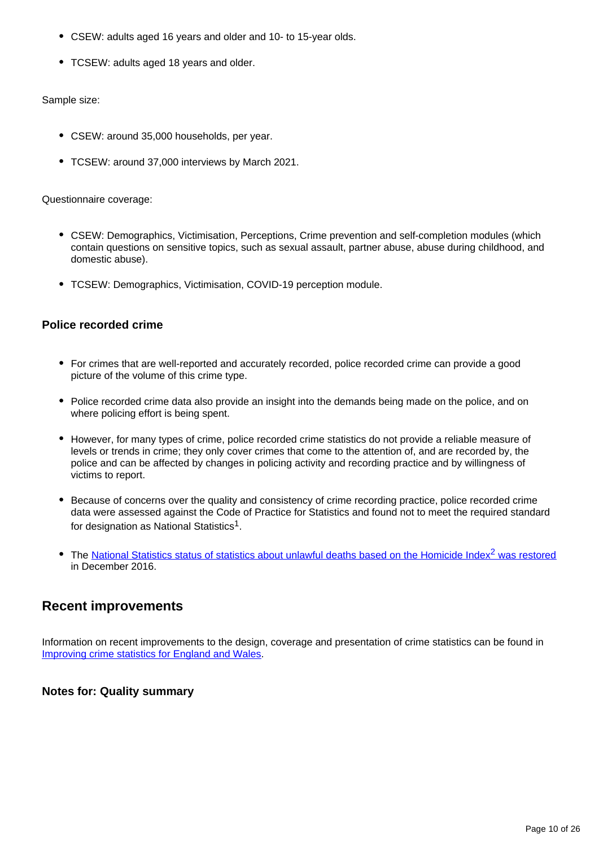- CSEW: adults aged 16 years and older and 10- to 15-year olds.
- TCSEW: adults aged 18 years and older.

#### Sample size:

- CSEW: around 35,000 households, per year.
- TCSEW: around 37,000 interviews by March 2021.

#### Questionnaire coverage:

- CSEW: Demographics, Victimisation, Perceptions, Crime prevention and self-completion modules (which contain questions on sensitive topics, such as sexual assault, partner abuse, abuse during childhood, and domestic abuse).
- TCSEW: Demographics, Victimisation, COVID-19 perception module.

### **Police recorded crime**

- For crimes that are well-reported and accurately recorded, police recorded crime can provide a good picture of the volume of this crime type.
- Police recorded crime data also provide an insight into the demands being made on the police, and on where policing effort is being spent.
- However, for many types of crime, police recorded crime statistics do not provide a reliable measure of levels or trends in crime; they only cover crimes that come to the attention of, and are recorded by, the police and can be affected by changes in policing activity and recording practice and by willingness of victims to report.
- Because of concerns over the quality and consistency of crime recording practice, police recorded crime data were assessed against the Code of Practice for Statistics and found not to meet the required standard for designation as National Statistics $^{\mathsf{1}}$ .
- The National Statistics status of statistics about unlawful deaths based on the Homicide Index<sup>2</sup> was restored in December 2016.

### **Recent improvements**

Information on recent improvements to the design, coverage and presentation of crime statistics can be found in [Improving crime statistics for England and Wales.](https://www.ons.gov.uk/peoplepopulationandcommunity/crimeandjustice/methodologies/improvingcrimestatisticsforenglandandwalesprogressupdate)

### **Notes for: Quality summary**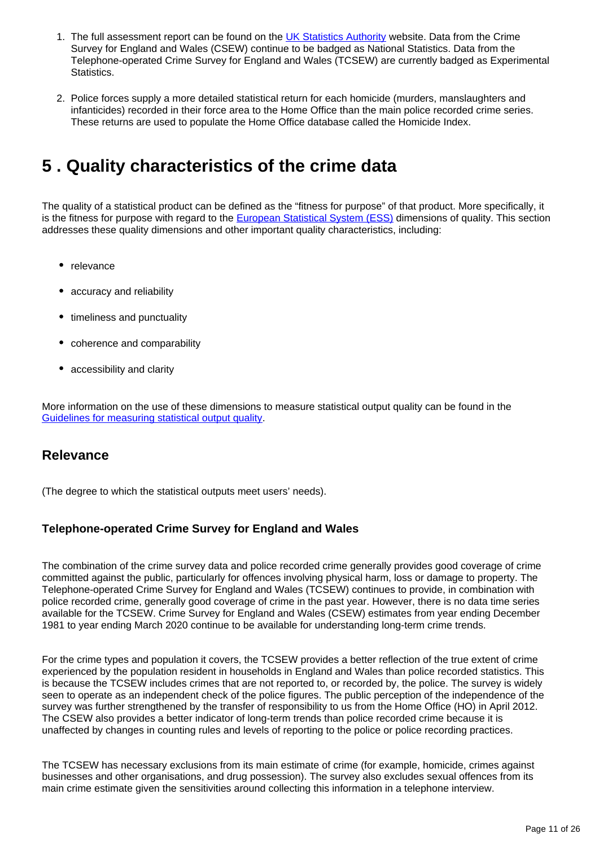- 1. The full assessment report can be found on the [UK Statistics Authority](https://www.statisticsauthority.gov.uk/) website. Data from the Crime Survey for England and Wales (CSEW) continue to be badged as National Statistics. Data from the Telephone-operated Crime Survey for England and Wales (TCSEW) are currently badged as Experimental Statistics.
- 2. Police forces supply a more detailed statistical return for each homicide (murders, manslaughters and infanticides) recorded in their force area to the Home Office than the main police recorded crime series. These returns are used to populate the Home Office database called the Homicide Index.

## <span id="page-10-0"></span>**5 . Quality characteristics of the crime data**

The quality of a statistical product can be defined as the "fitness for purpose" of that product. More specifically, it is the fitness for purpose with regard to the [European Statistical System \(ESS\)](http://ec.europa.eu/eurostat/web/ess) dimensions of quality. This section addresses these quality dimensions and other important quality characteristics, including:

- relevance
- accuracy and reliability
- timeliness and punctuality
- coherence and comparability
- accessibility and clarity

More information on the use of these dimensions to measure statistical output quality can be found in the [Guidelines for measuring statistical output quality.](https://www.ons.gov.uk/methodology/methodologytopicsandstatisticalconcepts/qualityinofficialstatistics/qualitydefined)

### **Relevance**

(The degree to which the statistical outputs meet users' needs).

### **Telephone-operated Crime Survey for England and Wales**

The combination of the crime survey data and police recorded crime generally provides good coverage of crime committed against the public, particularly for offences involving physical harm, loss or damage to property. The Telephone-operated Crime Survey for England and Wales (TCSEW) continues to provide, in combination with police recorded crime, generally good coverage of crime in the past year. However, there is no data time series available for the TCSEW. Crime Survey for England and Wales (CSEW) estimates from year ending December 1981 to year ending March 2020 continue to be available for understanding long-term crime trends.

For the crime types and population it covers, the TCSEW provides a better reflection of the true extent of crime experienced by the population resident in households in England and Wales than police recorded statistics. This is because the TCSEW includes crimes that are not reported to, or recorded by, the police. The survey is widely seen to operate as an independent check of the police figures. The public perception of the independence of the survey was further strengthened by the transfer of responsibility to us from the Home Office (HO) in April 2012. The CSEW also provides a better indicator of long-term trends than police recorded crime because it is unaffected by changes in counting rules and levels of reporting to the police or police recording practices.

The TCSEW has necessary exclusions from its main estimate of crime (for example, homicide, crimes against businesses and other organisations, and drug possession). The survey also excludes sexual offences from its main crime estimate given the sensitivities around collecting this information in a telephone interview.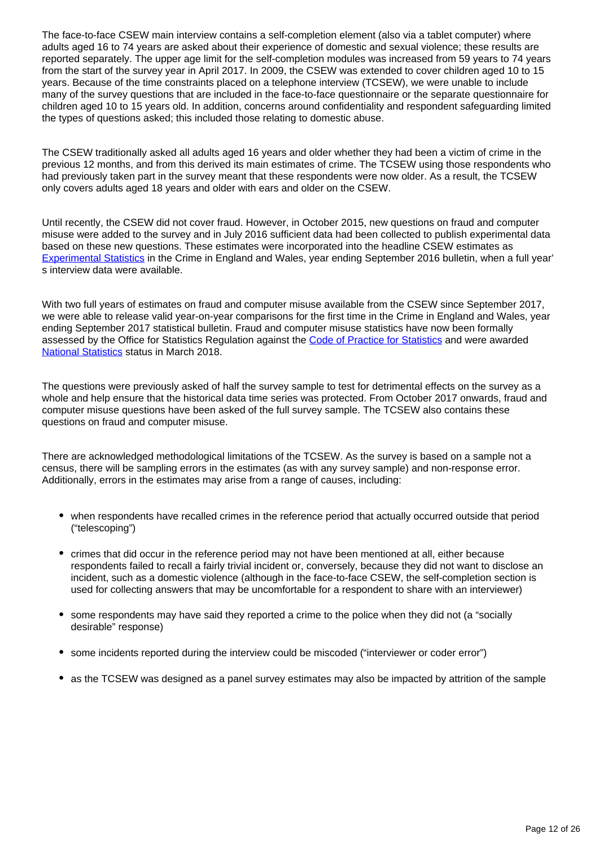The face-to-face CSEW main interview contains a self-completion element (also via a tablet computer) where adults aged 16 to 74 years are asked about their experience of domestic and sexual violence; these results are reported separately. The upper age limit for the self-completion modules was increased from 59 years to 74 years from the start of the survey year in April 2017. In 2009, the CSEW was extended to cover children aged 10 to 15 years. Because of the time constraints placed on a telephone interview (TCSEW), we were unable to include many of the survey questions that are included in the face-to-face questionnaire or the separate questionnaire for children aged 10 to 15 years old. In addition, concerns around confidentiality and respondent safeguarding limited the types of questions asked; this included those relating to domestic abuse.

The CSEW traditionally asked all adults aged 16 years and older whether they had been a victim of crime in the previous 12 months, and from this derived its main estimates of crime. The TCSEW using those respondents who had previously taken part in the survey meant that these respondents were now older. As a result, the TCSEW only covers adults aged 18 years and older with ears and older on the CSEW.

Until recently, the CSEW did not cover fraud. However, in October 2015, new questions on fraud and computer misuse were added to the survey and in July 2016 sufficient data had been collected to publish experimental data based on these new questions. These estimates were incorporated into the headline CSEW estimates as [Experimental Statistics](https://www.ons.gov.uk/methodology/methodologytopicsandstatisticalconcepts/guidetoexperimentalstatistics) in the Crime in England and Wales, year ending September 2016 bulletin, when a full year' s interview data were available.

With two full years of estimates on fraud and computer misuse available from the CSEW since September 2017, we were able to release valid year-on-year comparisons for the first time in the Crime in England and Wales, year ending September 2017 statistical bulletin. Fraud and computer misuse statistics have now been formally assessed by the Office for Statistics Regulation against the [Code of Practice for Statistics](https://code.statisticsauthority.gov.uk/) and were awarded [National Statistics](https://uksa.statisticsauthority.gov.uk/about-the-authority/uk-statistical-system/types-of-official-statistics/) status in March 2018.

The questions were previously asked of half the survey sample to test for detrimental effects on the survey as a whole and help ensure that the historical data time series was protected. From October 2017 onwards, fraud and computer misuse questions have been asked of the full survey sample. The TCSEW also contains these questions on fraud and computer misuse.

There are acknowledged methodological limitations of the TCSEW. As the survey is based on a sample not a census, there will be sampling errors in the estimates (as with any survey sample) and non-response error. Additionally, errors in the estimates may arise from a range of causes, including:

- when respondents have recalled crimes in the reference period that actually occurred outside that period ("telescoping")
- crimes that did occur in the reference period may not have been mentioned at all, either because respondents failed to recall a fairly trivial incident or, conversely, because they did not want to disclose an incident, such as a domestic violence (although in the face-to-face CSEW, the self-completion section is used for collecting answers that may be uncomfortable for a respondent to share with an interviewer)
- some respondents may have said they reported a crime to the police when they did not (a "socially desirable" response)
- some incidents reported during the interview could be miscoded ("interviewer or coder error")
- as the TCSEW was designed as a panel survey estimates may also be impacted by attrition of the sample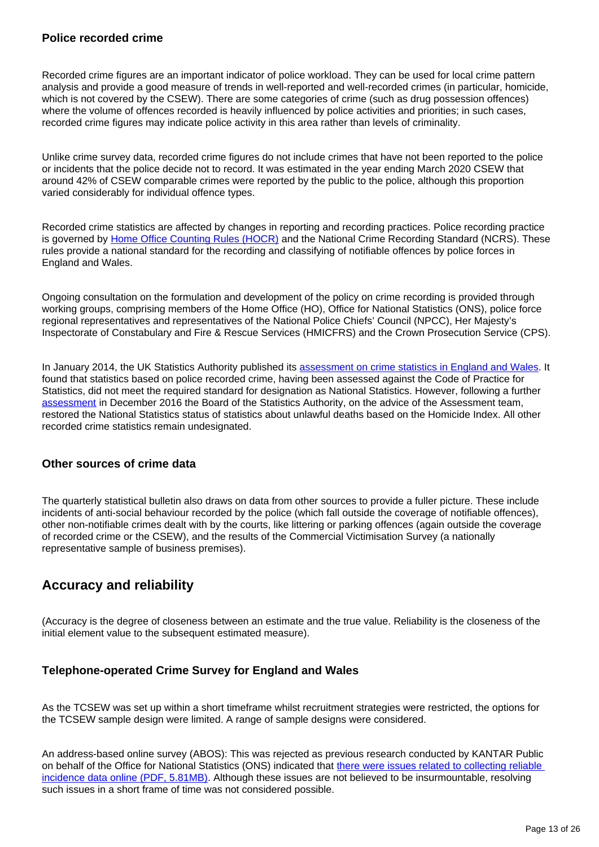#### **Police recorded crime**

Recorded crime figures are an important indicator of police workload. They can be used for local crime pattern analysis and provide a good measure of trends in well-reported and well-recorded crimes (in particular, homicide, which is not covered by the CSEW). There are some categories of crime (such as drug possession offences) where the volume of offences recorded is heavily influenced by police activities and priorities; in such cases, recorded crime figures may indicate police activity in this area rather than levels of criminality.

Unlike crime survey data, recorded crime figures do not include crimes that have not been reported to the police or incidents that the police decide not to record. It was estimated in the year ending March 2020 CSEW that around 42% of CSEW comparable crimes were reported by the public to the police, although this proportion varied considerably for individual offence types.

Recorded crime statistics are affected by changes in reporting and recording practices. Police recording practice is governed by [Home Office Counting Rules \(HOCR\)](https://www.gov.uk/government/publications/counting-rules-for-recorded-crime) and the National Crime Recording Standard (NCRS). These rules provide a national standard for the recording and classifying of notifiable offences by police forces in England and Wales.

Ongoing consultation on the formulation and development of the policy on crime recording is provided through working groups, comprising members of the Home Office (HO), Office for National Statistics (ONS), police force regional representatives and representatives of the National Police Chiefs' Council (NPCC), Her Majesty's Inspectorate of Constabulary and Fire & Rescue Services (HMICFRS) and the Crown Prosecution Service (CPS).

In January 2014, the UK Statistics Authority published its [assessment on crime statistics in England and Wales](https://uksa.statisticsauthority.gov.uk/publication/statistics-on-crime-in-england-and-wales/). It found that statistics based on police recorded crime, having been assessed against the Code of Practice for Statistics, did not meet the required standard for designation as National Statistics. However, following a further [assessment](https://www.statisticsauthority.gov.uk/publication/statistics-on-crime-in-england-and-wales-2/) in December 2016 the Board of the Statistics Authority, on the advice of the Assessment team, restored the National Statistics status of statistics about unlawful deaths based on the Homicide Index. All other recorded crime statistics remain undesignated.

### **Other sources of crime data**

The quarterly statistical bulletin also draws on data from other sources to provide a fuller picture. These include incidents of anti-social behaviour recorded by the police (which fall outside the coverage of notifiable offences), other non-notifiable crimes dealt with by the courts, like littering or parking offences (again outside the coverage of recorded crime or the CSEW), and the results of the Commercial Victimisation Survey (a nationally representative sample of business premises).

### **Accuracy and reliability**

(Accuracy is the degree of closeness between an estimate and the true value. Reliability is the closeness of the initial element value to the subsequent estimated measure).

### **Telephone-operated Crime Survey for England and Wales**

As the TCSEW was set up within a short timeframe whilst recruitment strategies were restricted, the options for the TCSEW sample design were limited. A range of sample designs were considered.

An address-based online survey (ABOS): This was rejected as previous research conducted by KANTAR Public on behalf of the Office for National Statistics (ONS) indicated that there were issues related to collecting reliable [incidence data online \(PDF, 5.81MB\).](https://www.ons.gov.uk/file?uri=/peoplepopulationandcommunity/crimeandjustice/articles/redesignofcrimesurveyforenglandandwalescsewcorequestionsforonlinecollection/2018-07-19/csewonlinereportcombined.pdf) Although these issues are not believed to be insurmountable, resolving such issues in a short frame of time was not considered possible.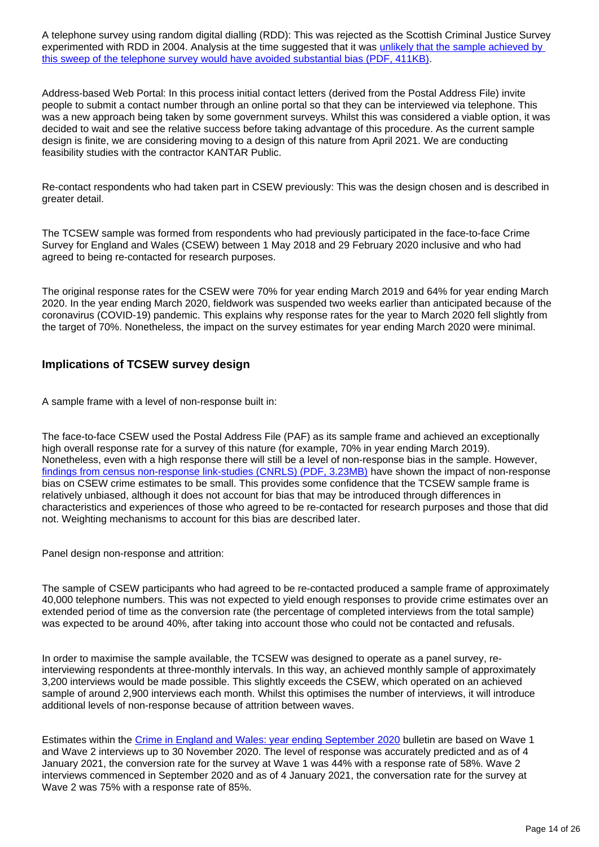A telephone survey using random digital dialling (RDD): This was rejected as the Scottish Criminal Justice Survey experimented with RDD in 2004. Analysis at the time suggested that it was unlikely that the sample achieved by [this sweep of the telephone survey would have avoided substantial bias \(PDF, 411KB\).](https://www2.gov.scot/resource/doc/47121/0020932.pdf)

Address-based Web Portal: In this process initial contact letters (derived from the Postal Address File) invite people to submit a contact number through an online portal so that they can be interviewed via telephone. This was a new approach being taken by some government surveys. Whilst this was considered a viable option, it was decided to wait and see the relative success before taking advantage of this procedure. As the current sample design is finite, we are considering moving to a design of this nature from April 2021. We are conducting feasibility studies with the contractor KANTAR Public.

Re-contact respondents who had taken part in CSEW previously: This was the design chosen and is described in greater detail.

The TCSEW sample was formed from respondents who had previously participated in the face-to-face Crime Survey for England and Wales (CSEW) between 1 May 2018 and 29 February 2020 inclusive and who had agreed to being re-contacted for research purposes.

The original response rates for the CSEW were 70% for year ending March 2019 and 64% for year ending March 2020. In the year ending March 2020, fieldwork was suspended two weeks earlier than anticipated because of the coronavirus (COVID-19) pandemic. This explains why response rates for the year to March 2020 fell slightly from the target of 70%. Nonetheless, the impact on the survey estimates for year ending March 2020 were minimal.

#### **Implications of TCSEW survey design**

A sample frame with a level of non-response built in:

The face-to-face CSEW used the Postal Address File (PAF) as its sample frame and achieved an exceptionally high overall response rate for a survey of this nature (for example, 70% in year ending March 2019). Nonetheless, even with a high response there will still be a level of non-response bias in the sample. However, [findings from census non-response link-studies \(CNRLS\) \(PDF, 3.23MB\)](http://webarchive.nationalarchives.gov.uk/20160105160709/http:/www.ons.gov.uk/ons/guide-method/method-quality/survey-methodology-bulletin/smb-73/survey-methodology-bulletin-73---spring-2015.pdf) have shown the impact of non-response bias on CSEW crime estimates to be small. This provides some confidence that the TCSEW sample frame is relatively unbiased, although it does not account for bias that may be introduced through differences in characteristics and experiences of those who agreed to be re-contacted for research purposes and those that did not. Weighting mechanisms to account for this bias are described later.

Panel design non-response and attrition:

The sample of CSEW participants who had agreed to be re-contacted produced a sample frame of approximately 40,000 telephone numbers. This was not expected to yield enough responses to provide crime estimates over an extended period of time as the conversion rate (the percentage of completed interviews from the total sample) was expected to be around 40%, after taking into account those who could not be contacted and refusals.

In order to maximise the sample available, the TCSEW was designed to operate as a panel survey, reinterviewing respondents at three-monthly intervals. In this way, an achieved monthly sample of approximately 3,200 interviews would be made possible. This slightly exceeds the CSEW, which operated on an achieved sample of around 2,900 interviews each month. Whilst this optimises the number of interviews, it will introduce additional levels of non-response because of attrition between waves.

Estimates within the [Crime in England and Wales: year ending September 2020](https://publishing.ons.gov.uk/peoplepopulationandcommunity/crimeandjustice/bulletins/crimeinenglandandwales/yearendingseptember2020) bulletin are based on Wave 1 and Wave 2 interviews up to 30 November 2020. The level of response was accurately predicted and as of 4 January 2021, the conversion rate for the survey at Wave 1 was 44% with a response rate of 58%. Wave 2 interviews commenced in September 2020 and as of 4 January 2021, the conversation rate for the survey at Wave 2 was 75% with a response rate of 85%.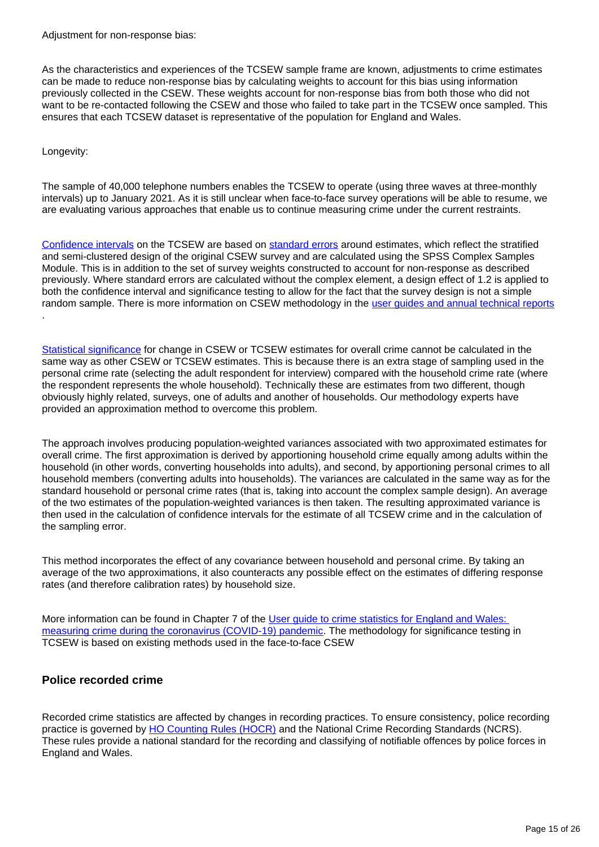Adjustment for non-response bias:

As the characteristics and experiences of the TCSEW sample frame are known, adjustments to crime estimates can be made to reduce non-response bias by calculating weights to account for this bias using information previously collected in the CSEW. These weights account for non-response bias from both those who did not want to be re-contacted following the CSEW and those who failed to take part in the TCSEW once sampled. This ensures that each TCSEW dataset is representative of the population for England and Wales.

#### Longevity:

The sample of 40,000 telephone numbers enables the TCSEW to operate (using three waves at three-monthly intervals) up to January 2021. As it is still unclear when face-to-face survey operations will be able to resume, we are evaluating various approaches that enable us to continue measuring crime under the current restraints.

[Confidence intervals](https://www.ons.gov.uk/methodology/methodologytopicsandstatisticalconcepts/uncertaintyandhowwemeasureit#confidence-interval) on the TCSEW are based on [standard errors](https://www.ons.gov.uk/methodology/methodologytopicsandstatisticalconcepts/uncertaintyandhowwemeasureit#standard-error) around estimates, which reflect the stratified and semi-clustered design of the original CSEW survey and are calculated using the SPSS Complex Samples Module. This is in addition to the set of survey weights constructed to account for non-response as described previously. Where standard errors are calculated without the complex element, a design effect of 1.2 is applied to both the confidence interval and significance testing to allow for the fact that the survey design is not a simple random sample. There is more information on CSEW methodology in the [user guides and annual technical reports](https://www.ons.gov.uk/peoplepopulationandcommunity/crimeandjustice/methodologies/crimeandjusticemethodology#user-guides) .

[Statistical significance](https://www.ons.gov.uk/methodology/methodologytopicsandstatisticalconcepts/uncertaintyandhowwemeasureit#statistical-significance) for change in CSEW or TCSEW estimates for overall crime cannot be calculated in the same way as other CSEW or TCSEW estimates. This is because there is an extra stage of sampling used in the personal crime rate (selecting the adult respondent for interview) compared with the household crime rate (where the respondent represents the whole household). Technically these are estimates from two different, though obviously highly related, surveys, one of adults and another of households. Our methodology experts have provided an approximation method to overcome this problem.

The approach involves producing population-weighted variances associated with two approximated estimates for overall crime. The first approximation is derived by apportioning household crime equally among adults within the household (in other words, converting households into adults), and second, by apportioning personal crimes to all household members (converting adults into households). The variances are calculated in the same way as for the standard household or personal crime rates (that is, taking into account the complex sample design). An average of the two estimates of the population-weighted variances is then taken. The resulting approximated variance is then used in the calculation of confidence intervals for the estimate of all TCSEW crime and in the calculation of the sampling error.

This method incorporates the effect of any covariance between household and personal crime. By taking an average of the two approximations, it also counteracts any possible effect on the estimates of differing response rates (and therefore calibration rates) by household size.

More information can be found in Chapter 7 of the User guide to crime statistics for England and Wales: [measuring crime during the coronavirus \(COVID-19\) pandemic](https://www.ons.gov.uk/peoplepopulationandcommunity/crimeandjustice/methodologies/crimeandjusticemethodology#user-guides). The methodology for significance testing in TCSEW is based on existing methods used in the face-to-face CSEW

### **Police recorded crime**

Recorded crime statistics are affected by changes in recording practices. To ensure consistency, police recording practice is governed by [HO Counting Rules \(HOCR\)](https://www.gov.uk/government/publications/counting-rules-for-recorded-crime) and the National Crime Recording Standards (NCRS). These rules provide a national standard for the recording and classifying of notifiable offences by police forces in England and Wales.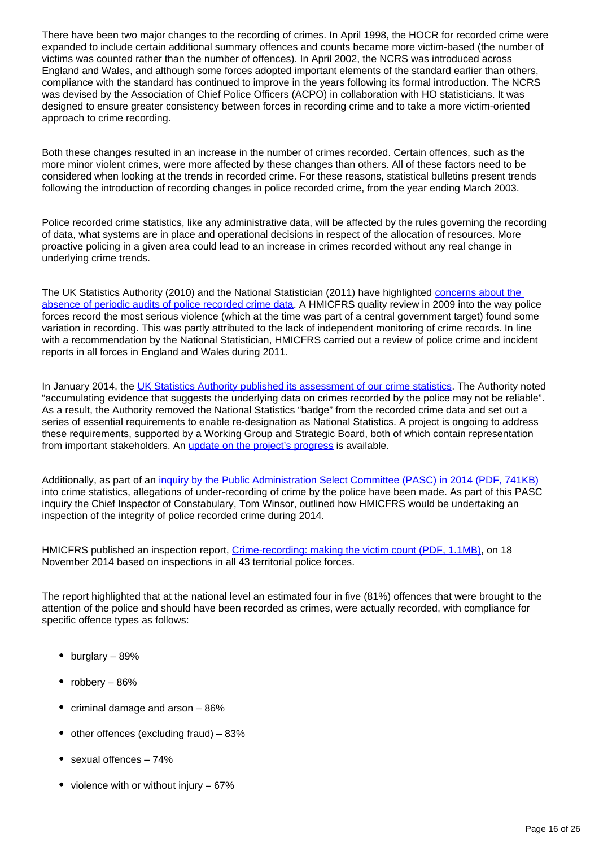There have been two major changes to the recording of crimes. In April 1998, the HOCR for recorded crime were expanded to include certain additional summary offences and counts became more victim-based (the number of victims was counted rather than the number of offences). In April 2002, the NCRS was introduced across England and Wales, and although some forces adopted important elements of the standard earlier than others, compliance with the standard has continued to improve in the years following its formal introduction. The NCRS was devised by the Association of Chief Police Officers (ACPO) in collaboration with HO statisticians. It was designed to ensure greater consistency between forces in recording crime and to take a more victim-oriented approach to crime recording.

Both these changes resulted in an increase in the number of crimes recorded. Certain offences, such as the more minor violent crimes, were more affected by these changes than others. All of these factors need to be considered when looking at the trends in recorded crime. For these reasons, statistical bulletins present trends following the introduction of recording changes in police recorded crime, from the year ending March 2003.

Police recorded crime statistics, like any administrative data, will be affected by the rules governing the recording of data, what systems are in place and operational decisions in respect of the allocation of resources. More proactive policing in a given area could lead to an increase in crimes recorded without any real change in underlying crime trends.

The UK Statistics Authority (2010) and the National Statistician (2011) have highlighted [concerns about the](https://uksa.statisticsauthority.gov.uk/publication/national-statisticians-review-of-crime-statistics-for-england-and-wales/)  [absence of periodic audits of police recorded crime data.](https://uksa.statisticsauthority.gov.uk/publication/national-statisticians-review-of-crime-statistics-for-england-and-wales/) A HMICFRS quality review in 2009 into the way police forces record the most serious violence (which at the time was part of a central government target) found some variation in recording. This was partly attributed to the lack of independent monitoring of crime records. In line with a recommendation by the National Statistician, HMICFRS carried out a review of police crime and incident reports in all forces in England and Wales during 2011.

In January 2014, the [UK Statistics Authority published its assessment of our crime statistics](https://uksa.statisticsauthority.gov.uk/publication/statistics-on-crime-in-england-and-wales/). The Authority noted "accumulating evidence that suggests the underlying data on crimes recorded by the police may not be reliable". As a result, the Authority removed the National Statistics "badge" from the recorded crime data and set out a series of essential requirements to enable re-designation as National Statistics. A project is ongoing to address these requirements, supported by a Working Group and Strategic Board, both of which contain representation from important stakeholders. An [update on the project's progress](https://www.ons.gov.uk/peoplepopulationandcommunity/crimeandjustice/methodologies/crimeandjusticemethodology) is available.

Additionally, as part of an [inquiry by the Public Administration Select Committee \(PASC\) in 2014 \(PDF, 741KB\)](http://www.publications.parliament.uk/pa/cm201314/cmselect/cmpubadm/760/760.pdf) into crime statistics, allegations of under-recording of crime by the police have been made. As part of this PASC inquiry the Chief Inspector of Constabulary, Tom Winsor, outlined how HMICFRS would be undertaking an inspection of the integrity of police recorded crime during 2014.

HMICFRS published an inspection report, [Crime-recording: making the victim count \(PDF, 1.1MB\)](http://www.justiceinspectorates.gov.uk/hmic/wp-content/uploads/crime-recording-making-the-victim-count.pdf), on 18 November 2014 based on inspections in all 43 territorial police forces.

The report highlighted that at the national level an estimated four in five (81%) offences that were brought to the attention of the police and should have been recorded as crimes, were actually recorded, with compliance for specific offence types as follows:

- burglary 89%
- robbery 86%
- criminal damage and arson  $-86%$
- $\bullet$  other offences (excluding fraud) 83%
- sexual offences 74%
- violence with or without injury  $-67%$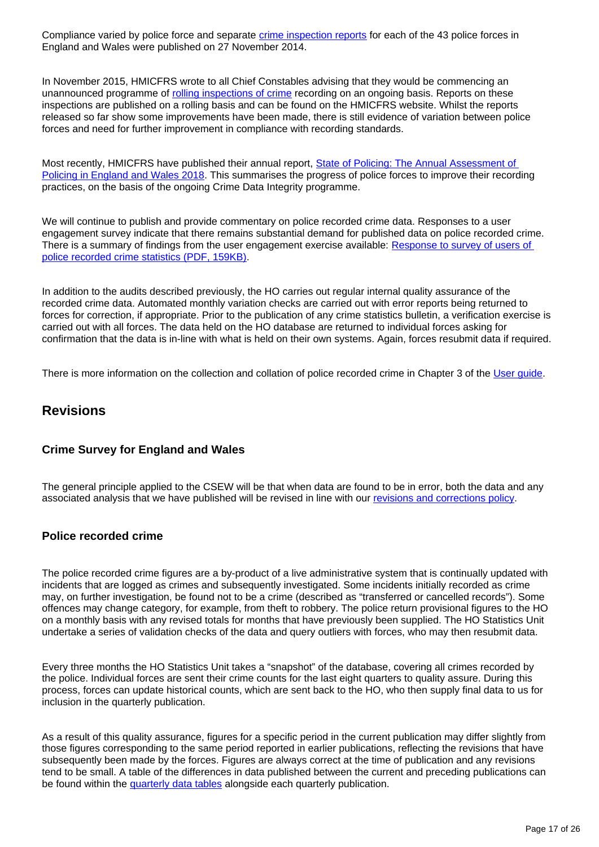Compliance varied by police force and separate [crime inspection reports](https://www.justiceinspectorates.gov.uk/hmicfrs/publications/crime-data-integrity-force-reports/) for each of the 43 police forces in England and Wales were published on 27 November 2014.

In November 2015, HMICFRS wrote to all Chief Constables advising that they would be commencing an unannounced programme of [rolling inspections of crime](https://www.justiceinspectorates.gov.uk/hmicfrs/our-work/article/crime-data-integrity/reports-rolling-programme-crime-data-integrity/) recording on an ongoing basis. Reports on these inspections are published on a rolling basis and can be found on the HMICFRS website. Whilst the reports released so far show some improvements have been made, there is still evidence of variation between police forces and need for further improvement in compliance with recording standards.

Most recently, HMICFRS have published their annual report, [State of Policing: The Annual Assessment of](https://www.justiceinspectorates.gov.uk/hmicfrs/publications/state-of-policing-the-annual-assessment-of-policing-in-england-and-wales-2018/)  [Policing in England and Wales 2018](https://www.justiceinspectorates.gov.uk/hmicfrs/publications/state-of-policing-the-annual-assessment-of-policing-in-england-and-wales-2018/). This summarises the progress of police forces to improve their recording practices, on the basis of the ongoing Crime Data Integrity programme.

We will continue to publish and provide commentary on police recorded crime data. Responses to a user engagement survey indicate that there remains substantial demand for published data on police recorded crime. There is a summary of findings from the user engagement exercise available: [Response to survey of users of](http://www.ons.gov.uk/ons/about-ons/get-involved/consultations-and-user-surveys/satisfaction-surveys/crime-statistics-survey/response-to-survey-of-users-of-police-recorded-crime-statistics.pdf)  [police recorded crime statistics \(PDF, 159KB\)](http://www.ons.gov.uk/ons/about-ons/get-involved/consultations-and-user-surveys/satisfaction-surveys/crime-statistics-survey/response-to-survey-of-users-of-police-recorded-crime-statistics.pdf).

In addition to the audits described previously, the HO carries out regular internal quality assurance of the recorded crime data. Automated monthly variation checks are carried out with error reports being returned to forces for correction, if appropriate. Prior to the publication of any crime statistics bulletin, a verification exercise is carried out with all forces. The data held on the HO database are returned to individual forces asking for confirmation that the data is in-line with what is held on their own systems. Again, forces resubmit data if required.

There is more information on the collection and collation of police recorded crime in Chapter 3 of the [User guide.](https://www.ons.gov.uk/peoplepopulationandcommunity/crimeandjustice/methodologies/userguidetocrimestatisticsforenglandandwales)

### **Revisions**

### **Crime Survey for England and Wales**

The general principle applied to the CSEW will be that when data are found to be in error, both the data and any associated analysis that we have published will be revised in line with our [revisions and corrections policy](https://www.ons.gov.uk/methodology/methodologytopicsandstatisticalconcepts/revisions).

### **Police recorded crime**

The police recorded crime figures are a by-product of a live administrative system that is continually updated with incidents that are logged as crimes and subsequently investigated. Some incidents initially recorded as crime may, on further investigation, be found not to be a crime (described as "transferred or cancelled records"). Some offences may change category, for example, from theft to robbery. The police return provisional figures to the HO on a monthly basis with any revised totals for months that have previously been supplied. The HO Statistics Unit undertake a series of validation checks of the data and query outliers with forces, who may then resubmit data.

Every three months the HO Statistics Unit takes a "snapshot" of the database, covering all crimes recorded by the police. Individual forces are sent their crime counts for the last eight quarters to quality assure. During this process, forces can update historical counts, which are sent back to the HO, who then supply final data to us for inclusion in the quarterly publication.

As a result of this quality assurance, figures for a specific period in the current publication may differ slightly from those figures corresponding to the same period reported in earlier publications, reflecting the revisions that have subsequently been made by the forces. Figures are always correct at the time of publication and any revisions tend to be small. A table of the differences in data published between the current and preceding publications can be found within the [quarterly data tables](https://www.ons.gov.uk/peoplepopulationandcommunity/crimeandjustice/datasets/crimeinenglandandwalesquarterlydatatables) alongside each quarterly publication.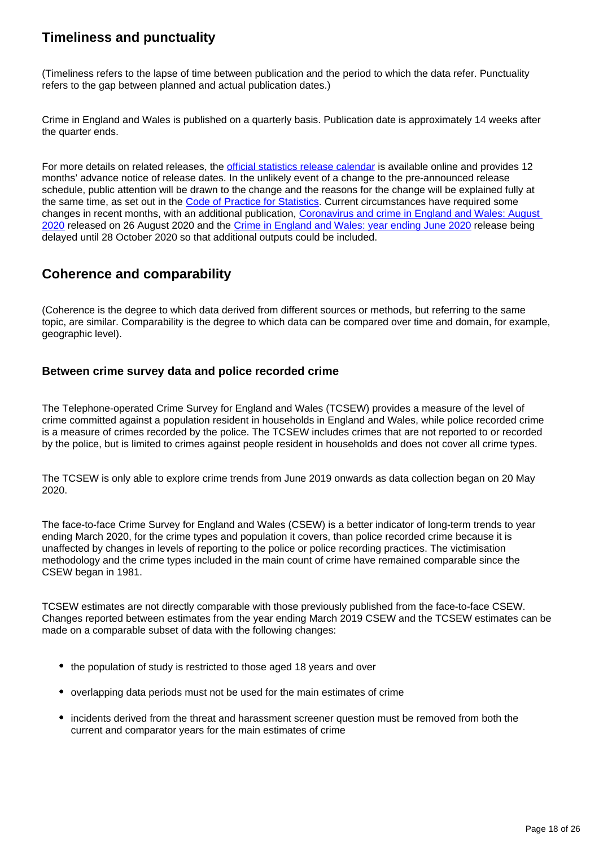### **Timeliness and punctuality**

(Timeliness refers to the lapse of time between publication and the period to which the data refer. Punctuality refers to the gap between planned and actual publication dates.)

Crime in England and Wales is published on a quarterly basis. Publication date is approximately 14 weeks after the quarter ends.

For more details on related releases, the [official statistics release calendar](https://www.gov.uk/government/statistics/announcements) is available online and provides 12 months' advance notice of release dates. In the unlikely event of a change to the pre-announced release schedule, public attention will be drawn to the change and the reasons for the change will be explained fully at the same time, as set out in the [Code of Practice for Statistics](https://code.statisticsauthority.gov.uk/). Current circumstances have required some changes in recent months, with an additional publication, Coronavirus and crime in England and Wales: August [2020](https://www.ons.gov.uk/peoplepopulationandcommunity/crimeandjustice/bulletins/coronavirusandcrimeinenglandandwales/august2020) released on 26 August 2020 and the [Crime in England and Wales: year ending June 2020](https://www.ons.gov.uk/peoplepopulationandcommunity/crimeandjustice/bulletins/crimeinenglandandwales/yearendingjune2020) release being delayed until 28 October 2020 so that additional outputs could be included.

### **Coherence and comparability**

(Coherence is the degree to which data derived from different sources or methods, but referring to the same topic, are similar. Comparability is the degree to which data can be compared over time and domain, for example, geographic level).

### **Between crime survey data and police recorded crime**

The Telephone-operated Crime Survey for England and Wales (TCSEW) provides a measure of the level of crime committed against a population resident in households in England and Wales, while police recorded crime is a measure of crimes recorded by the police. The TCSEW includes crimes that are not reported to or recorded by the police, but is limited to crimes against people resident in households and does not cover all crime types.

The TCSEW is only able to explore crime trends from June 2019 onwards as data collection began on 20 May 2020.

The face-to-face Crime Survey for England and Wales (CSEW) is a better indicator of long-term trends to year ending March 2020, for the crime types and population it covers, than police recorded crime because it is unaffected by changes in levels of reporting to the police or police recording practices. The victimisation methodology and the crime types included in the main count of crime have remained comparable since the CSEW began in 1981.

TCSEW estimates are not directly comparable with those previously published from the face-to-face CSEW. Changes reported between estimates from the year ending March 2019 CSEW and the TCSEW estimates can be made on a comparable subset of data with the following changes:

- the population of study is restricted to those aged 18 years and over
- overlapping data periods must not be used for the main estimates of crime
- incidents derived from the threat and harassment screener question must be removed from both the current and comparator years for the main estimates of crime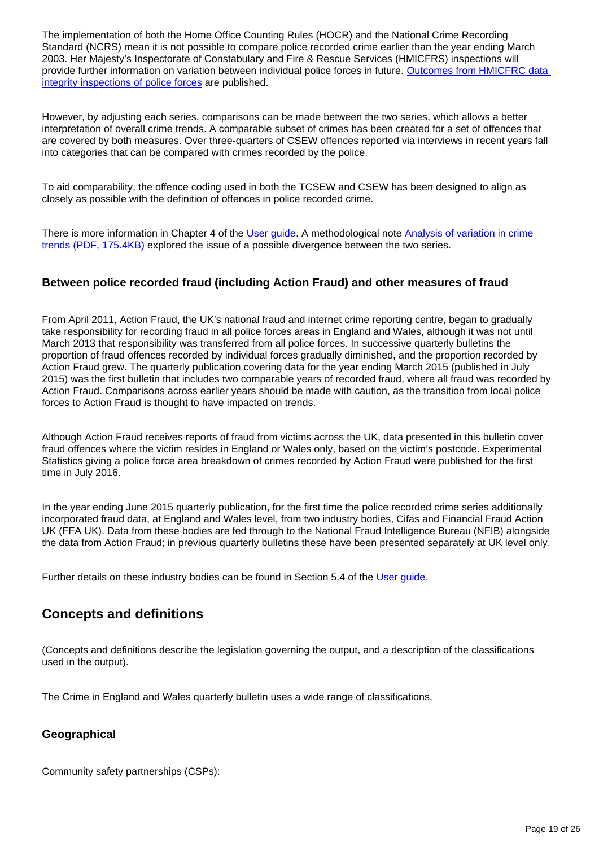The implementation of both the Home Office Counting Rules (HOCR) and the National Crime Recording Standard (NCRS) mean it is not possible to compare police recorded crime earlier than the year ending March 2003. Her Majesty's Inspectorate of Constabulary and Fire & Rescue Services (HMICFRS) inspections will provide further information on variation between individual police forces in future. [Outcomes from HMICFRC data](https://www.justiceinspectorates.gov.uk/hmicfrs/police-forces/publications/)  [integrity inspections of police forces](https://www.justiceinspectorates.gov.uk/hmicfrs/police-forces/publications/) are published.

However, by adjusting each series, comparisons can be made between the two series, which allows a better interpretation of overall crime trends. A comparable subset of crimes has been created for a set of offences that are covered by both measures. Over three-quarters of CSEW offences reported via interviews in recent years fall into categories that can be compared with crimes recorded by the police.

To aid comparability, the offence coding used in both the TCSEW and CSEW has been designed to align as closely as possible with the definition of offences in police recorded crime.

There is more information in Chapter 4 of the [User guide](https://www.ons.gov.uk/peoplepopulationandcommunity/crimeandjustice/methodologies/userguidetocrimestatisticsforenglandandwales). A methodological note Analysis of variation in crime [trends \(PDF, 175.4KB\)](http://www.ons.gov.uk/ons/guide-method/method-quality/specific/crime-statistics-methodology/methodological-note--analysis-of-variation-in-crime-trends.pdf) explored the issue of a possible divergence between the two series.

### **Between police recorded fraud (including Action Fraud) and other measures of fraud**

From April 2011, Action Fraud, the UK's national fraud and internet crime reporting centre, began to gradually take responsibility for recording fraud in all police forces areas in England and Wales, although it was not until March 2013 that responsibility was transferred from all police forces. In successive quarterly bulletins the proportion of fraud offences recorded by individual forces gradually diminished, and the proportion recorded by Action Fraud grew. The quarterly publication covering data for the year ending March 2015 (published in July 2015) was the first bulletin that includes two comparable years of recorded fraud, where all fraud was recorded by Action Fraud. Comparisons across earlier years should be made with caution, as the transition from local police forces to Action Fraud is thought to have impacted on trends.

Although Action Fraud receives reports of fraud from victims across the UK, data presented in this bulletin cover fraud offences where the victim resides in England or Wales only, based on the victim's postcode. Experimental Statistics giving a police force area breakdown of crimes recorded by Action Fraud were published for the first time in July 2016.

In the year ending June 2015 quarterly publication, for the first time the police recorded crime series additionally incorporated fraud data, at England and Wales level, from two industry bodies, Cifas and Financial Fraud Action UK (FFA UK). Data from these bodies are fed through to the National Fraud Intelligence Bureau (NFIB) alongside the data from Action Fraud; in previous quarterly bulletins these have been presented separately at UK level only.

Further details on these industry bodies can be found in Section 5.4 of the [User guide](https://www.ons.gov.uk/peoplepopulationandcommunity/crimeandjustice/methodologies/userguidetocrimestatisticsforenglandandwales).

### **Concepts and definitions**

(Concepts and definitions describe the legislation governing the output, and a description of the classifications used in the output).

The Crime in England and Wales quarterly bulletin uses a wide range of classifications.

### **Geographical**

Community safety partnerships (CSPs):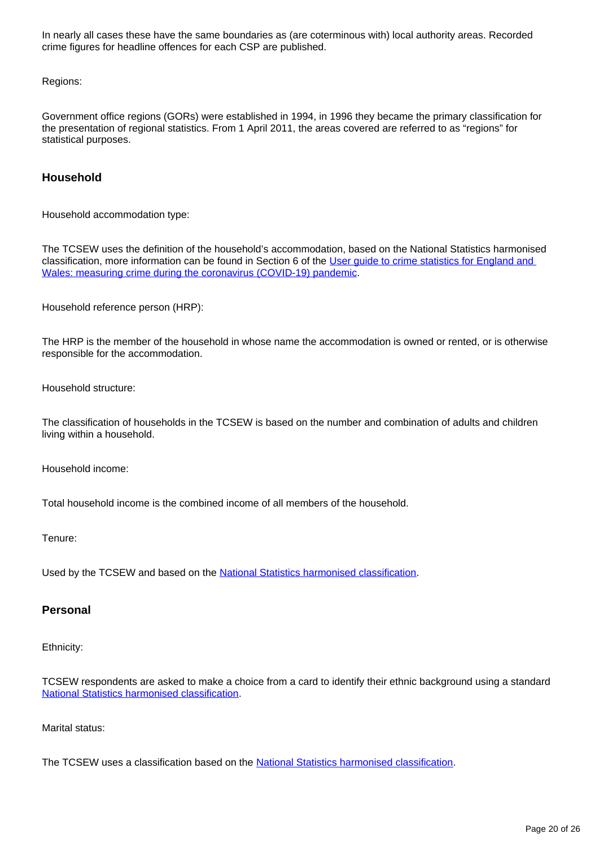In nearly all cases these have the same boundaries as (are coterminous with) local authority areas. Recorded crime figures for headline offences for each CSP are published.

Regions:

Government office regions (GORs) were established in 1994, in 1996 they became the primary classification for the presentation of regional statistics. From 1 April 2011, the areas covered are referred to as "regions" for statistical purposes.

#### **Household**

Household accommodation type:

The TCSEW uses the definition of the household's accommodation, based on the National Statistics harmonised classification, more information can be found in Section 6 of the [User guide to crime statistics for England and](https://www.ons.gov.uk/peoplepopulationandcommunity/crimeandjustice/methodologies/crimeandjusticemethodology#user-guides)  [Wales: measuring crime during the coronavirus \(COVID-19\) pandemic.](https://www.ons.gov.uk/peoplepopulationandcommunity/crimeandjustice/methodologies/crimeandjusticemethodology#user-guides)

Household reference person (HRP):

The HRP is the member of the household in whose name the accommodation is owned or rented, or is otherwise responsible for the accommodation.

Household structure:

The classification of households in the TCSEW is based on the number and combination of adults and children living within a household.

Household income:

Total household income is the combined income of all members of the household.

Tenure:

Used by the TCSEW and based on the **National Statistics harmonised classification**.

#### **Personal**

Ethnicity:

TCSEW respondents are asked to make a choice from a card to identify their ethnic background using a standard [National Statistics harmonised classification](https://www.ons.gov.uk/methodology/classificationsandstandards).

Marital status:

The TCSEW uses a classification based on the [National Statistics harmonised classification](https://www.ons.gov.uk/methodology/classificationsandstandards).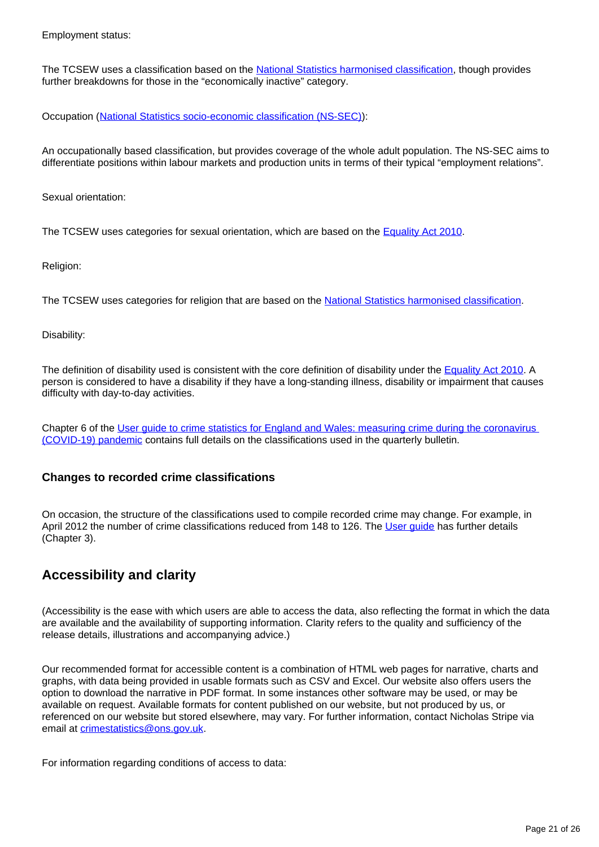Employment status:

The TCSEW uses a classification based on the [National Statistics harmonised classification](https://www.ons.gov.uk/methodology/classificationsandstandards), though provides further breakdowns for those in the "economically inactive" category.

Occupation ([National Statistics socio-economic classification \(NS-SEC\)\)](https://www.ons.gov.uk/methodology/classificationsandstandards/otherclassifications/thenationalstatisticssocioeconomicclassificationnssecrebasedonsoc2010):

An occupationally based classification, but provides coverage of the whole adult population. The NS-SEC aims to differentiate positions within labour markets and production units in terms of their typical "employment relations".

Sexual orientation:

The TCSEW uses categories for sexual orientation, which are based on the [Equality Act 2010](https://www.legislation.gov.uk/ukpga/2010/15/section/12).

Religion:

The TCSEW uses categories for religion that are based on the [National Statistics harmonised classification](https://www.ons.gov.uk/methodology/classificationsandstandards).

Disability:

The definition of disability used is consistent with the core definition of disability under the [Equality Act 2010](https://www.legislation.gov.uk/ukpga/2010/15/section/12). A person is considered to have a disability if they have a long-standing illness, disability or impairment that causes difficulty with day-to-day activities.

Chapter 6 of the User guide to crime statistics for England and Wales: measuring crime during the coronavirus [\(COVID-19\) pandemic](https://www.ons.gov.uk/peoplepopulationandcommunity/crimeandjustice/methodologies/crimeandjusticemethodology#user-guides) contains full details on the classifications used in the quarterly bulletin.

#### **Changes to recorded crime classifications**

On occasion, the structure of the classifications used to compile recorded crime may change. For example, in April 2012 the number of crime classifications reduced from 148 to 126. The [User guide](https://www.ons.gov.uk/peoplepopulationandcommunity/crimeandjustice/methodologies/userguidetocrimestatisticsforenglandandwales) has further details (Chapter 3).

### **Accessibility and clarity**

(Accessibility is the ease with which users are able to access the data, also reflecting the format in which the data are available and the availability of supporting information. Clarity refers to the quality and sufficiency of the release details, illustrations and accompanying advice.)

Our recommended format for accessible content is a combination of HTML web pages for narrative, charts and graphs, with data being provided in usable formats such as CSV and Excel. Our website also offers users the option to download the narrative in PDF format. In some instances other software may be used, or may be available on request. Available formats for content published on our website, but not produced by us, or referenced on our website but stored elsewhere, may vary. For further information, contact Nicholas Stripe via email at [crimestatistics@ons.gov.uk](mailto:crimestatistics@ons.gov.uk).

For information regarding conditions of access to data: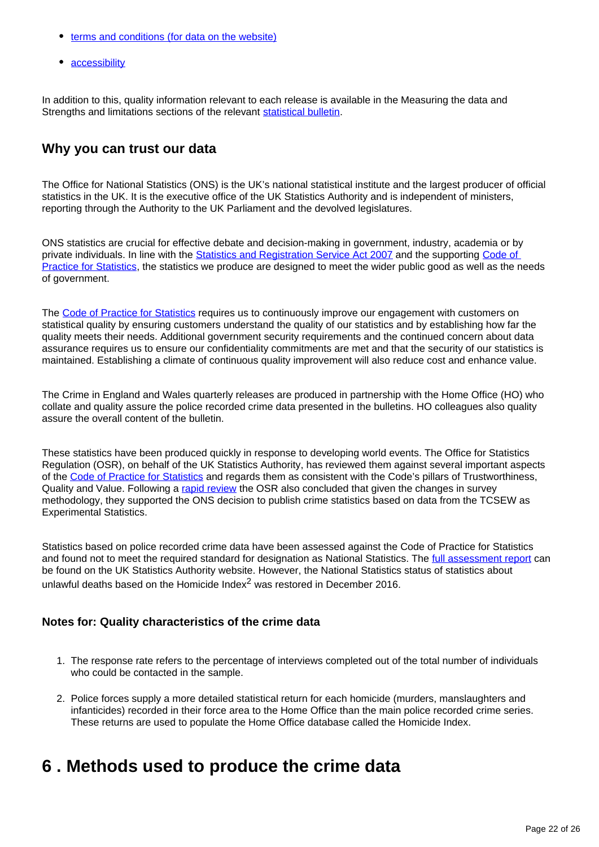- [terms and conditions \(for data on the website\)](https://www.ons.gov.uk/help/termsandconditions)
- [accessibility](https://www.ons.gov.uk/help/accessibility)

In addition to this, quality information relevant to each release is available in the Measuring the data and Strengths and limitations sections of the relevant [statistical bulletin.](https://www.ons.gov.uk/peoplepopulationandcommunity/crimeandjustice/bulletins/crimeinenglandandwales/previousReleases)

### **Why you can trust our data**

The Office for National Statistics (ONS) is the UK's national statistical institute and the largest producer of official statistics in the UK. It is the executive office of the UK Statistics Authority and is independent of ministers, reporting through the Authority to the UK Parliament and the devolved legislatures.

ONS statistics are crucial for effective debate and decision-making in government, industry, academia or by private individuals. In line with the **[Statistics and Registration Service Act 2007](https://uksa.statisticsauthority.gov.uk/about-the-authority/uk-statistical-system/legislation/key-legislative-documents/)** and the supporting Code of [Practice for Statistics](https://code.statisticsauthority.gov.uk/), the statistics we produce are designed to meet the wider public good as well as the needs of government.

The [Code of Practice for Statistics](https://code.statisticsauthority.gov.uk/) requires us to continuously improve our engagement with customers on statistical quality by ensuring customers understand the quality of our statistics and by establishing how far the quality meets their needs. Additional government security requirements and the continued concern about data assurance requires us to ensure our confidentiality commitments are met and that the security of our statistics is maintained. Establishing a climate of continuous quality improvement will also reduce cost and enhance value.

The Crime in England and Wales quarterly releases are produced in partnership with the Home Office (HO) who collate and quality assure the police recorded crime data presented in the bulletins. HO colleagues also quality assure the overall content of the bulletin.

These statistics have been produced quickly in response to developing world events. The Office for Statistics Regulation (OSR), on behalf of the UK Statistics Authority, has reviewed them against several important aspects of the [Code of Practice for Statistics](https://code.statisticsauthority.gov.uk/) and regards them as consistent with the Code's pillars of Trustworthiness, Quality and Value. Following a [rapid review](https://osr.statisticsauthority.gov.uk/correspondence/ed-humpherson-to-iain-bell-telephone-operated-crime-survey-for-england-and-wales/) the OSR also concluded that given the changes in survey methodology, they supported the ONS decision to publish crime statistics based on data from the TCSEW as Experimental Statistics.

Statistics based on police recorded crime data have been assessed against the Code of Practice for Statistics and found not to meet the required standard for designation as National Statistics. The [full assessment report](https://www.statisticsauthority.gov.uk/publication/statistics-on-crime-in-england-and-wales/) can be found on the UK Statistics Authority website. However, the National Statistics status of statistics about unlawful deaths based on the Homicide Index $2$  was restored in December 2016.

### **Notes for: Quality characteristics of the crime data**

- 1. The response rate refers to the percentage of interviews completed out of the total number of individuals who could be contacted in the sample.
- 2. Police forces supply a more detailed statistical return for each homicide (murders, manslaughters and infanticides) recorded in their force area to the Home Office than the main police recorded crime series. These returns are used to populate the Home Office database called the Homicide Index.

## <span id="page-21-0"></span>**6 . Methods used to produce the crime data**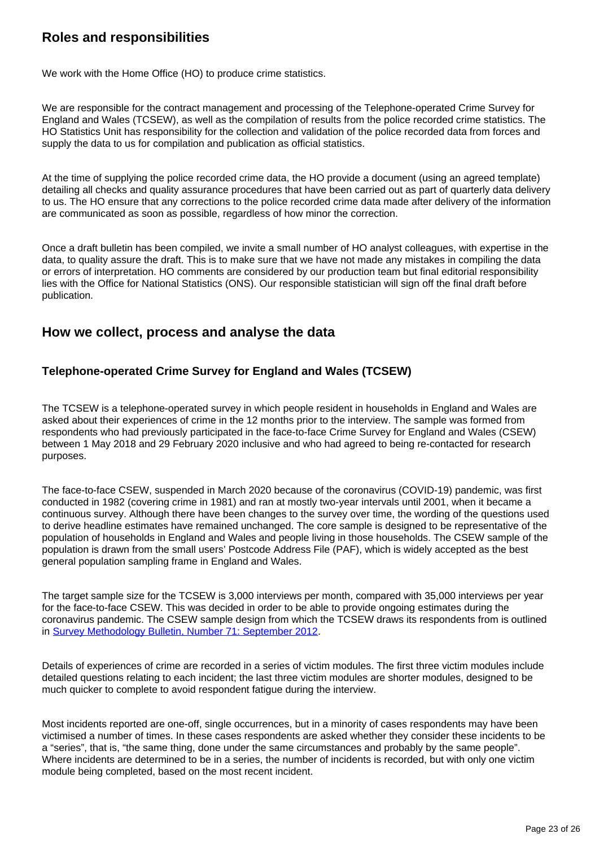### **Roles and responsibilities**

We work with the Home Office (HO) to produce crime statistics.

We are responsible for the contract management and processing of the Telephone-operated Crime Survey for England and Wales (TCSEW), as well as the compilation of results from the police recorded crime statistics. The HO Statistics Unit has responsibility for the collection and validation of the police recorded data from forces and supply the data to us for compilation and publication as official statistics.

At the time of supplying the police recorded crime data, the HO provide a document (using an agreed template) detailing all checks and quality assurance procedures that have been carried out as part of quarterly data delivery to us. The HO ensure that any corrections to the police recorded crime data made after delivery of the information are communicated as soon as possible, regardless of how minor the correction.

Once a draft bulletin has been compiled, we invite a small number of HO analyst colleagues, with expertise in the data, to quality assure the draft. This is to make sure that we have not made any mistakes in compiling the data or errors of interpretation. HO comments are considered by our production team but final editorial responsibility lies with the Office for National Statistics (ONS). Our responsible statistician will sign off the final draft before publication.

### **How we collect, process and analyse the data**

### **Telephone-operated Crime Survey for England and Wales (TCSEW)**

The TCSEW is a telephone-operated survey in which people resident in households in England and Wales are asked about their experiences of crime in the 12 months prior to the interview. The sample was formed from respondents who had previously participated in the face-to-face Crime Survey for England and Wales (CSEW) between 1 May 2018 and 29 February 2020 inclusive and who had agreed to being re-contacted for research purposes.

The face-to-face CSEW, suspended in March 2020 because of the coronavirus (COVID-19) pandemic, was first conducted in 1982 (covering crime in 1981) and ran at mostly two-year intervals until 2001, when it became a continuous survey. Although there have been changes to the survey over time, the wording of the questions used to derive headline estimates have remained unchanged. The core sample is designed to be representative of the population of households in England and Wales and people living in those households. The CSEW sample of the population is drawn from the small users' Postcode Address File (PAF), which is widely accepted as the best general population sampling frame in England and Wales.

The target sample size for the TCSEW is 3,000 interviews per month, compared with 35,000 interviews per year for the face-to-face CSEW. This was decided in order to be able to provide ongoing estimates during the coronavirus pandemic. The CSEW sample design from which the TCSEW draws its respondents from is outlined in [Survey Methodology Bulletin, Number 71: September 2012](http://www.ons.gov.uk/ons/guide-method/method-quality/survey-methodology-bulletin/smb-71/index.html).

Details of experiences of crime are recorded in a series of victim modules. The first three victim modules include detailed questions relating to each incident; the last three victim modules are shorter modules, designed to be much quicker to complete to avoid respondent fatigue during the interview.

Most incidents reported are one-off, single occurrences, but in a minority of cases respondents may have been victimised a number of times. In these cases respondents are asked whether they consider these incidents to be a "series", that is, "the same thing, done under the same circumstances and probably by the same people". Where incidents are determined to be in a series, the number of incidents is recorded, but with only one victim module being completed, based on the most recent incident.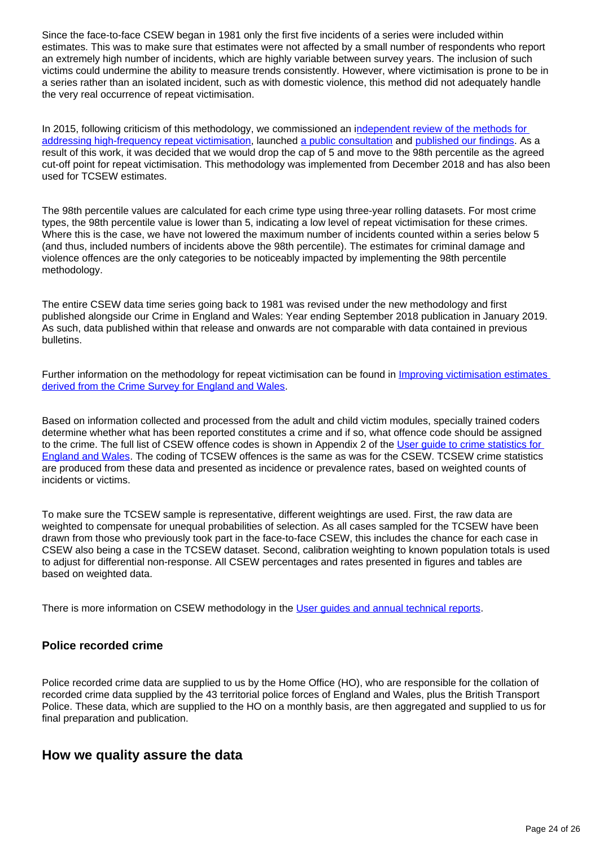Since the face-to-face CSEW began in 1981 only the first five incidents of a series were included within estimates. This was to make sure that estimates were not affected by a small number of respondents who report an extremely high number of incidents, which are highly variable between survey years. The inclusion of such victims could undermine the ability to measure trends consistently. However, where victimisation is prone to be in a series rather than an isolated incident, such as with domestic violence, this method did not adequately handle the very real occurrence of repeat victimisation.

In 2015, following criticism of this methodology, we commissioned an independent review of the methods for [addressing high-frequency repeat victimisation,](https://www.ons.gov.uk/aboutus/whatwedo/statistics/consultationsandsurveys/allconsultationsandsurveys/reviewofmethodologyforaddressinghighfrequencyrepeatvictimisationincrimesurveyforenglandandwalesestimates) launched [a public consultation](https://www.ons.gov.uk/aboutus/whatwedo/statistics/consultationsandsurveys/allconsultationsandsurveys/reviewofmethodologyforaddressinghighfrequencyrepeatvictimisationincrimesurveyforenglandandwalesestimates) and [published our findings](https://www.ons.gov.uk/peoplepopulationandcommunity/crimeandjustice/methodologies/improvingestimatesofrepeatvictimisationderivedfromthecrimesurveyforenglandandwales). As a result of this work, it was decided that we would drop the cap of 5 and move to the 98th percentile as the agreed cut-off point for repeat victimisation. This methodology was implemented from December 2018 and has also been used for TCSEW estimates.

The 98th percentile values are calculated for each crime type using three-year rolling datasets. For most crime types, the 98th percentile value is lower than 5, indicating a low level of repeat victimisation for these crimes. Where this is the case, we have not lowered the maximum number of incidents counted within a series below 5 (and thus, included numbers of incidents above the 98th percentile). The estimates for criminal damage and violence offences are the only categories to be noticeably impacted by implementing the 98th percentile methodology.

The entire CSEW data time series going back to 1981 was revised under the new methodology and first published alongside our Crime in England and Wales: Year ending September 2018 publication in January 2019. As such, data published within that release and onwards are not comparable with data contained in previous bulletins.

Further information on the methodology for repeat victimisation can be found in *Improving victimisation estimates* [derived from the Crime Survey for England and Wales](https://www.ons.gov.uk/peoplepopulationandcommunity/crimeandjustice/articles/improvingvictimisationestimatesderivedfromthecrimesurveyforenglandandwales/2019-01-24).

Based on information collected and processed from the adult and child victim modules, specially trained coders determine whether what has been reported constitutes a crime and if so, what offence code should be assigned to the crime. The full list of CSEW offence codes is shown in Appendix 2 of the User quide to crime statistics for [England and Wales](https://www.ons.gov.uk/peoplepopulationandcommunity/crimeandjustice/methodologies/userguidetocrimestatisticsforenglandandwales). The coding of TCSEW offences is the same as was for the CSEW. TCSEW crime statistics are produced from these data and presented as incidence or prevalence rates, based on weighted counts of incidents or victims.

To make sure the TCSEW sample is representative, different weightings are used. First, the raw data are weighted to compensate for unequal probabilities of selection. As all cases sampled for the TCSEW have been drawn from those who previously took part in the face-to-face CSEW, this includes the chance for each case in CSEW also being a case in the TCSEW dataset. Second, calibration weighting to known population totals is used to adjust for differential non-response. All CSEW percentages and rates presented in figures and tables are based on weighted data.

There is more information on CSEW methodology in the [User guides and annual technical reports.](https://www.ons.gov.uk/peoplepopulationandcommunity/crimeandjustice/methodologies/crimeandjusticemethodology#user-guides)

### **Police recorded crime**

Police recorded crime data are supplied to us by the Home Office (HO), who are responsible for the collation of recorded crime data supplied by the 43 territorial police forces of England and Wales, plus the British Transport Police. These data, which are supplied to the HO on a monthly basis, are then aggregated and supplied to us for final preparation and publication.

### **How we quality assure the data**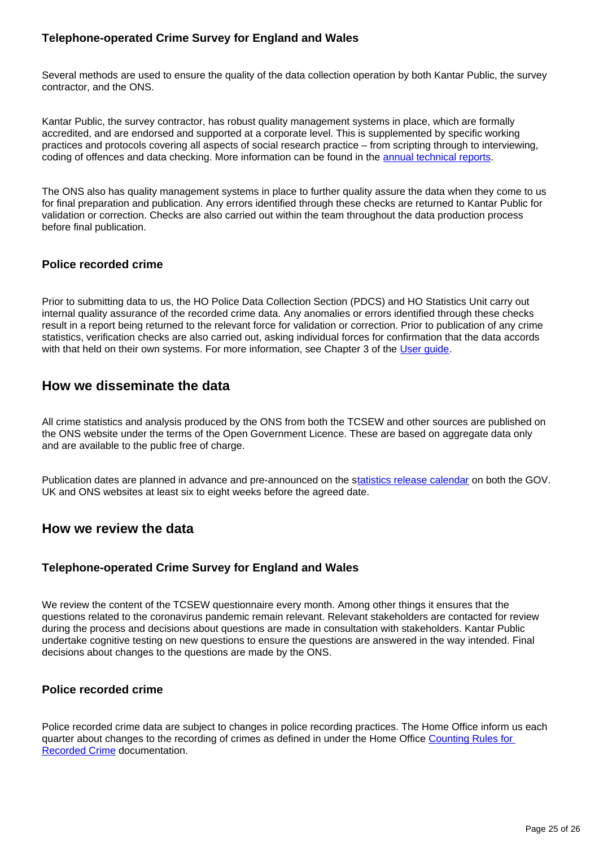### **Telephone-operated Crime Survey for England and Wales**

Several methods are used to ensure the quality of the data collection operation by both Kantar Public, the survey contractor, and the ONS.

Kantar Public, the survey contractor, has robust quality management systems in place, which are formally accredited, and are endorsed and supported at a corporate level. This is supplemented by specific working practices and protocols covering all aspects of social research practice – from scripting through to interviewing, coding of offences and data checking. More information can be found in the [annual technical reports.](https://www.ons.gov.uk/peoplepopulationandcommunity/crimeandjustice/methodologies/crimeandjusticemethodology)

The ONS also has quality management systems in place to further quality assure the data when they come to us for final preparation and publication. Any errors identified through these checks are returned to Kantar Public for validation or correction. Checks are also carried out within the team throughout the data production process before final publication.

### **Police recorded crime**

Prior to submitting data to us, the HO Police Data Collection Section (PDCS) and HO Statistics Unit carry out internal quality assurance of the recorded crime data. Any anomalies or errors identified through these checks result in a report being returned to the relevant force for validation or correction. Prior to publication of any crime statistics, verification checks are also carried out, asking individual forces for confirmation that the data accords with that held on their own systems. For more information, see Chapter 3 of the [User guide.](https://www.ons.gov.uk/peoplepopulationandcommunity/crimeandjustice/methodologies/userguidetocrimestatisticsforenglandandwales)

### **How we disseminate the data**

All crime statistics and analysis produced by the ONS from both the TCSEW and other sources are published on the ONS website under the terms of the Open Government Licence. These are based on aggregate data only and are available to the public free of charge.

Publication dates are planned in advance and pre-announced on the s[tatistics release calendar](https://www.ons.gov.uk/releasecalendar) on both the GOV. UK and ONS websites at least six to eight weeks before the agreed date.

### **How we review the data**

### **Telephone-operated Crime Survey for England and Wales**

We review the content of the TCSEW questionnaire every month. Among other things it ensures that the questions related to the coronavirus pandemic remain relevant. Relevant stakeholders are contacted for review during the process and decisions about questions are made in consultation with stakeholders. Kantar Public undertake cognitive testing on new questions to ensure the questions are answered in the way intended. Final decisions about changes to the questions are made by the ONS.

#### **Police recorded crime**

Police recorded crime data are subject to changes in police recording practices. The Home Office inform us each quarter about changes to the recording of crimes as defined in under the Home Office [Counting Rules for](https://www.gov.uk/government/publications/counting-rules-for-recorded-crime)  [Recorded Crime](https://www.gov.uk/government/publications/counting-rules-for-recorded-crime) documentation.